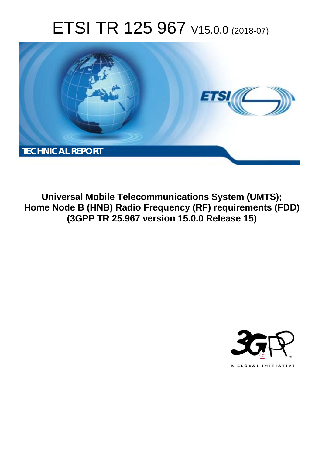# ETSI TR 125 967 V15.0.0 (2018-07)



**Universal Mobile Telecommunications System (UMTS); Home Node B (HNB) Radio Frequency (RF) requirements (FDD) (3GPP TR 25.967 version 15.0.0 Release 15)** 

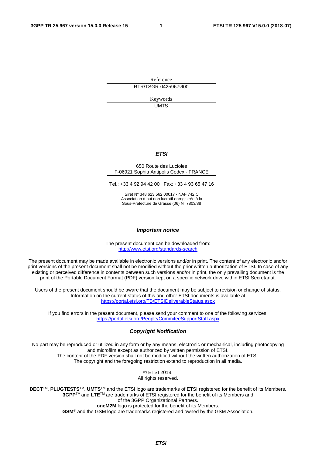Reference RTR/TSGR-0425967vf00

> Keywords UMTS

> > *ETSI*

#### 650 Route des Lucioles F-06921 Sophia Antipolis Cedex - FRANCE

Tel.: +33 4 92 94 42 00 Fax: +33 4 93 65 47 16

Siret N° 348 623 562 00017 - NAF 742 C Association à but non lucratif enregistrée à la Sous-Préfecture de Grasse (06) N° 7803/88

#### *Important notice*

The present document can be downloaded from: <http://www.etsi.org/standards-search>

The present document may be made available in electronic versions and/or in print. The content of any electronic and/or print versions of the present document shall not be modified without the prior written authorization of ETSI. In case of any existing or perceived difference in contents between such versions and/or in print, the only prevailing document is the print of the Portable Document Format (PDF) version kept on a specific network drive within ETSI Secretariat.

Users of the present document should be aware that the document may be subject to revision or change of status. Information on the current status of this and other ETSI documents is available at <https://portal.etsi.org/TB/ETSIDeliverableStatus.aspx>

If you find errors in the present document, please send your comment to one of the following services: <https://portal.etsi.org/People/CommiteeSupportStaff.aspx>

#### *Copyright Notification*

No part may be reproduced or utilized in any form or by any means, electronic or mechanical, including photocopying and microfilm except as authorized by written permission of ETSI. The content of the PDF version shall not be modified without the written authorization of ETSI. The copyright and the foregoing restriction extend to reproduction in all media.

> © ETSI 2018. All rights reserved.

**DECT**TM, **PLUGTESTS**TM, **UMTS**TM and the ETSI logo are trademarks of ETSI registered for the benefit of its Members. **3GPP**TM and **LTE**TM are trademarks of ETSI registered for the benefit of its Members and of the 3GPP Organizational Partners. **oneM2M** logo is protected for the benefit of its Members.

**GSM**® and the GSM logo are trademarks registered and owned by the GSM Association.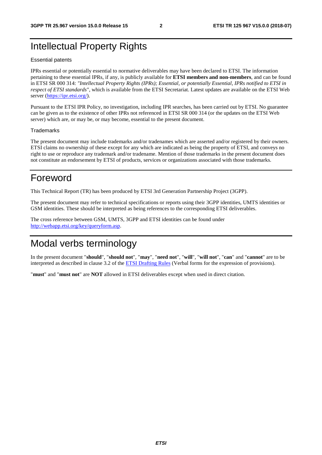# Intellectual Property Rights

#### Essential patents

IPRs essential or potentially essential to normative deliverables may have been declared to ETSI. The information pertaining to these essential IPRs, if any, is publicly available for **ETSI members and non-members**, and can be found in ETSI SR 000 314: *"Intellectual Property Rights (IPRs); Essential, or potentially Essential, IPRs notified to ETSI in respect of ETSI standards"*, which is available from the ETSI Secretariat. Latest updates are available on the ETSI Web server ([https://ipr.etsi.org/\)](https://ipr.etsi.org/).

Pursuant to the ETSI IPR Policy, no investigation, including IPR searches, has been carried out by ETSI. No guarantee can be given as to the existence of other IPRs not referenced in ETSI SR 000 314 (or the updates on the ETSI Web server) which are, or may be, or may become, essential to the present document.

#### **Trademarks**

The present document may include trademarks and/or tradenames which are asserted and/or registered by their owners. ETSI claims no ownership of these except for any which are indicated as being the property of ETSI, and conveys no right to use or reproduce any trademark and/or tradename. Mention of those trademarks in the present document does not constitute an endorsement by ETSI of products, services or organizations associated with those trademarks.

# Foreword

This Technical Report (TR) has been produced by ETSI 3rd Generation Partnership Project (3GPP).

The present document may refer to technical specifications or reports using their 3GPP identities, UMTS identities or GSM identities. These should be interpreted as being references to the corresponding ETSI deliverables.

The cross reference between GSM, UMTS, 3GPP and ETSI identities can be found under [http://webapp.etsi.org/key/queryform.asp.](http://webapp.etsi.org/key/queryform.asp)

# Modal verbs terminology

In the present document "**should**", "**should not**", "**may**", "**need not**", "**will**", "**will not**", "**can**" and "**cannot**" are to be interpreted as described in clause 3.2 of the [ETSI Drafting Rules](https://portal.etsi.org/Services/editHelp!/Howtostart/ETSIDraftingRules.aspx) (Verbal forms for the expression of provisions).

"**must**" and "**must not**" are **NOT** allowed in ETSI deliverables except when used in direct citation.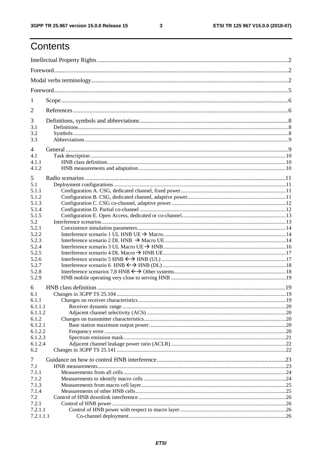$\mathbf{3}$ 

# Contents

| 1                  |  |
|--------------------|--|
| 2                  |  |
| 3<br>3.1           |  |
| 3.2                |  |
| 3.3                |  |
| 4                  |  |
| 4.1                |  |
| 4.1.1              |  |
| 4.1.2              |  |
| 5                  |  |
| 5.1                |  |
| 5.1.1              |  |
| 5.1.2              |  |
| 5.1.3              |  |
| 5.1.4<br>5.1.5     |  |
| 5.2                |  |
| 5.2.1              |  |
| 5.2.2              |  |
| 5.2.3              |  |
| 5.2.4              |  |
| 5.2.5              |  |
| 5.2.6              |  |
| 5.2.7              |  |
| 5.2.8              |  |
| 5.2.9              |  |
| 6                  |  |
| 6.1                |  |
| 6.1.1              |  |
| 6.1.1.1            |  |
| 6.1.1.2            |  |
| 6.1.2              |  |
| 6.1.2.1            |  |
| 6.1.2.2<br>6.1.2.3 |  |
| 6.1.2.4            |  |
| 6.2                |  |
|                    |  |
| 7                  |  |
| 7.1<br>7.1.1       |  |
| 7.1.2              |  |
| 7.1.3              |  |
| 7.1.4              |  |
| 7.2                |  |
| 7.2.1              |  |
| 7.2.1.1            |  |
| 7.2.1.1.1          |  |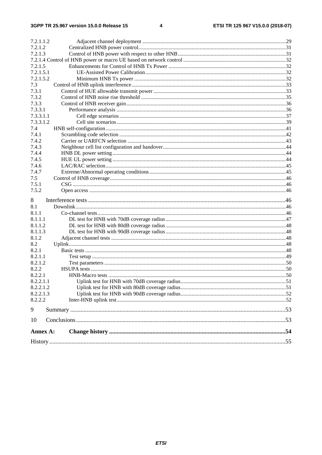| 7.2.1.1.2       |  |
|-----------------|--|
| 7.2.1.2         |  |
| 7.2.1.3         |  |
|                 |  |
| 7.2.1.5         |  |
| 7.2.1.5.1       |  |
| 7.2.1.5.2       |  |
| 7.3             |  |
| 7.3.1           |  |
| 7.3.2           |  |
| 7.3.3           |  |
| 7.3.3.1         |  |
| 7.3.3.1.1       |  |
| 7.3.3.1.2       |  |
| 7.4             |  |
| 7.4.1           |  |
| 7.4.2           |  |
| 7.4.3           |  |
| 7.4.4           |  |
| 7.4.5           |  |
| 7.4.6           |  |
| 7.4.7           |  |
| 7.5             |  |
| 7.5.1           |  |
| 7.5.2           |  |
| 8               |  |
| 8.1             |  |
| 8.1.1           |  |
| 8.1.1.1         |  |
| 8.1.1.2         |  |
| 8.1.1.3         |  |
| 8.1.2           |  |
| 8.2             |  |
| 8.2.1           |  |
| 8.2.1.1         |  |
| 8.2.1.2         |  |
| 8.2.2           |  |
| 8.2.2.1         |  |
| 8.2.2.1.1       |  |
| 8.2.2.1.2       |  |
| 8.2.2.1.3       |  |
| 8.2.2.2         |  |
| 9               |  |
| 10              |  |
|                 |  |
| <b>Annex A:</b> |  |
|                 |  |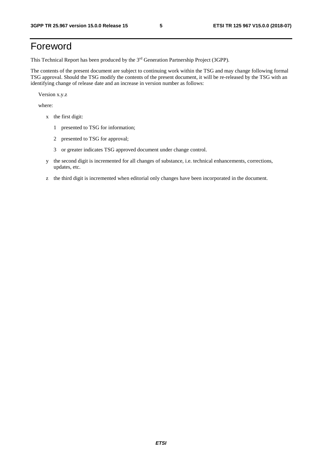# Foreword

This Technical Report has been produced by the 3rd Generation Partnership Project (3GPP).

The contents of the present document are subject to continuing work within the TSG and may change following formal TSG approval. Should the TSG modify the contents of the present document, it will be re-released by the TSG with an identifying change of release date and an increase in version number as follows:

Version x.y.z

where:

- x the first digit:
	- 1 presented to TSG for information;
	- 2 presented to TSG for approval;
	- 3 or greater indicates TSG approved document under change control.
- y the second digit is incremented for all changes of substance, i.e. technical enhancements, corrections, updates, etc.
- z the third digit is incremented when editorial only changes have been incorporated in the document.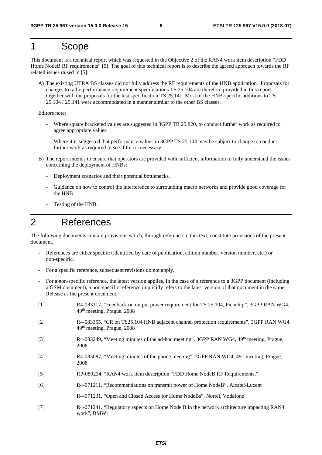# 1 Scope

This document is a technical report which was requested in the Objective 2 of the RAN4 work item description "FDD Home NodeB RF requirements" [5]. The goal of this technical report is to describe the agreed approach towards the RF related issues raised in [5]:

A) The existing UTRA BS classes did not fully address the RF requirements of the HNB application. Proposals for changes to radio performance requirement specifications TS 25.104 are therefore provided in this report, together with the proposals for the test specification TS 25.141. Most of the HNB-specific additions to TS 25.104 / 25.141 were accommodated in a manner similar to the other BS classes.

Editors note:

- Where square bracketed values are suggested in 3GPP TR 25.820, to conduct further work as required to agree appropriate values.
- Where it is suggested that performance values in 3GPP TS 25.104 may be subject to change to conduct further work as required to see if this is necessary.
- B) The report intends to ensure that operators are provided with sufficient information to fully understand the issues concerning the deployment of HNBs:
	- Deployment scenarios and their potential bottlenecks.
	- Guidance on how to control the interference to surrounding macro networks and provide good coverage for the HNB
	- Testing of the HNB.

# 2 References

The following documents contain provisions which, through reference in this text, constitute provisions of the present document.

- References are either specific (identified by date of publication, edition number, version number, etc.) or non-specific.
- For a specific reference, subsequent revisions do not apply.
- For a non-specific reference, the latest version applies. In the case of a reference to a 3GPP document (including a GSM document), a non-specific reference implicitly refers to the latest version of that document in the same Release as the present document.
- [1] R4-083117, "Feedback on output power requirement for TS 25.104, Picochip", 3GPP RAN WG4, 49th meeting, Prague, 2008
- [2] R4-083355, "CR on TS25.104 HNB adjacent channel protection requirements", 3GPP RAN WG4, 49th meeting, Prague, 2008
- [3] R4-083249, "Meeting minutes of the ad-hoc meeting", 3GPP RAN WG4, 49th meeting, Prague, 2008
- [4] R4-083087, "Meeting minutes of the phone meeting", 3GPP RAN WG4, 49th meeting, Prague, 2008
- [5] RP-080234, "RAN4 work item description "FDD Home NodeB RF Requirements,"
- [6] R4-071211, "Recommendations on transmit power of Home NodeB", Alcatel-Lucent
	- R4-071231, "Open and Closed Access for Home NodeBs", Nortel, Vodafone
- [7] R4-071241, "Regulatory aspects on Home Node B in the network architecture impacting RAN4 work", BMWi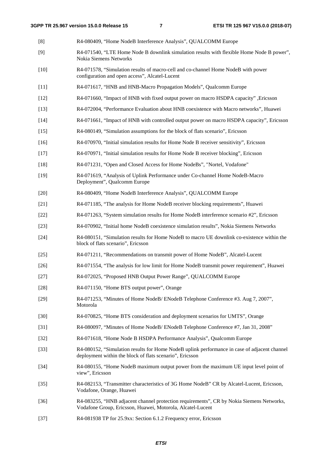- [8] R4-080409, "Home NodeB Interference Analysis", QUALCOMM Europe [9] R4-071540, "LTE Home Node B downlink simulation results with flexible Home Node B power", Nokia Siemens Networks [10] R4-071578, "Simulation results of macro-cell and co-channel Home NodeB with power configuration and open access", Alcatel-Lucent [11] R4-071617, "HNB and HNB-Macro Propagation Models", Qualcomm Europe [12] R4-071660, "Impact of HNB with fixed output power on macro HSDPA capacity" ,Ericsson [13] R4-072004, "Performance Evaluation about HNB coexistence with Macro networks", Huawei [14] R4-071661, "Impact of HNB with controlled output power on macro HSDPA capacity", Ericsson [15] R4-080149, "Simulation assumptions for the block of flats scenario", Ericsson [16] R4-070970, "Initial simulation results for Home Node B receiver sensitivity", Ericsson [17] R4-070971, "Initial simulation results for Home Node B receiver blocking", Ericsson [18] R4-071231, "Open and Closed Access for Home NodeBs", "Nortel, Vodafone" [19] R4-071619, "Analysis of Uplink Performance under Co-channel Home NodeB-Macro Deployment", Qualcomm Europe [20] R4-080409, "Home NodeB Interference Analysis", QUALCOMM Europe [21] R4-071185, "The analysis for Home NodeB receiver blocking requirements", Huawei [22] R4-071263, "System simulation results for Home NodeB interference scenario #2", Ericsson [23] R4-070902, "Initial home NodeB coexistence simulation results", Nokia Siemens Networks [24] R4-080151, "Simulation results for Home NodeB to macro UE downlink co-existence within the block of flats scenario", Ericsson [25] R4-071211, "Recommendations on transmit power of Home NodeB", Alcatel-Lucent [26] R4-071554, "The analysis for low limit for Home NodeB transmit power requirement", Huawei [27] R4-072025, "Proposed HNB Output Power Range", QUALCOMM Europe [28] R4-071150, "Home BTS output power", Orange [29] R4-071253, "Minutes of Home NodeB/ ENodeB Telephone Conference #3. Aug 7, 2007", Motorola [30] R4-070825, "Home BTS consideration and deployment scenarios for UMTS", Orange [31] R4-080097, "Minutes of Home NodeB/ ENodeB Telephone Conference #7, Jan 31, 2008" [32] R4-071618, "Home Node B HSDPA Performance Analysis", Qualcomm Europe [33] R4-080152, "Simulation results for Home NodeB uplink performance in case of adjacent channel deployment within the block of flats scenario", Ericsson [34] R4-080155, "Home NodeB maximum output power from the maximum UE input level point of view", Ericsson [35] R4-082153, "Transmitter characteristics of 3G Home NodeB" CR by Alcatel-Lucent, Ericsson, Vodafone, Orange, Huawei [36] R4-083255, "HNB adjacent channel protection requirements", CR by Nokia Siemens Networks, Vodafone Group, Ericsson, Huawei, Motorola, Alcatel-Lucent
- [37] R4-081938 TP for 25.9xx: Section 6.1.2 Frequency error, Ericsson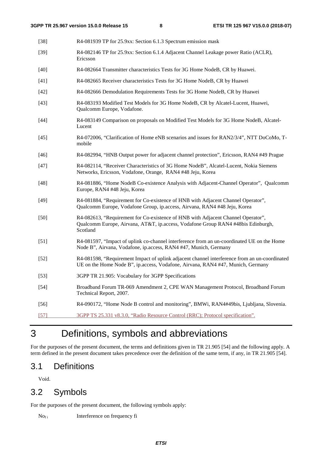| $[38]$ | R4-081939 TP for 25.9xx: Section 6.1.3 Spectrum emission mask                                                                                                                    |
|--------|----------------------------------------------------------------------------------------------------------------------------------------------------------------------------------|
| $[39]$ | R4-082146 TP for 25.9xx: Section 6.1.4 Adjacent Channel Leakage power Ratio (ACLR),<br>Ericsson                                                                                  |
| $[40]$ | R4-082664 Transmitter characteristics Tests for 3G Home NodeB, CR by Huawei.                                                                                                     |
| $[41]$ | R4-082665 Receiver characteristics Tests for 3G Home NodeB, CR by Huawei                                                                                                         |
| $[42]$ | R4-082666 Demodulation Requirements Tests for 3G Home NodeB, CR by Huawei                                                                                                        |
| $[43]$ | R4-083193 Modified Test Models for 3G Home NodeB, CR by Alcatel-Lucent, Huawei,<br>Qualcomm Europe, Vodafone.                                                                    |
| $[44]$ | R4-083149 Comparison on proposals on Modified Test Models for 3G Home NodeB, Alcatel-<br>Lucent                                                                                  |
| $[45]$ | R4-072006, "Clarification of Home eNB scenarios and issues for RAN2/3/4", NTT DoCoMo, T-<br>mobile                                                                               |
| $[46]$ | R4-082994, "HNB Output power for adjacent channel protection", Ericsson, RAN4 #49 Prague                                                                                         |
| $[47]$ | R4-082114, "Receiver Characteristics of 3G Home NodeB", Alcatel-Lucent, Nokia Siemens<br>Networks, Ericsson, Vodafone, Orange, RAN4 #48 Jeju, Korea                              |
| $[48]$ | R4-081886, "Home NodeB Co-existence Analysis with Adjacent-Channel Operator", Qualcomm<br>Europe, RAN4 #48 Jeju, Korea                                                           |
| $[49]$ | R4-081884, "Requirement for Co-existence of HNB with Adjacent Channel Operator",<br>Qualcomm Europe, Vodafone Group, ip.access, Airvana, RAN4 #48 Jeju, Korea                    |
| $[50]$ | R4-082613, "Requirement for Co-existence of HNB with Adjacent Channel Operator",<br>Qualcomm Europe, Airvana, AT&T, ip.access, Vodafone Group RAN4 #48bis Edinburgh,<br>Scotland |
| $[51]$ | R4-081597, "Impact of uplink co-channel interference from an un-coordinated UE on the Home<br>Node B", Airvana, Vodafone, ip.access, RAN4 #47, Munich, Germany                   |
| $[52]$ | R4-081598, "Requirement Impact of uplink adjacent channel interference from an un-coordinated<br>UE on the Home Node B", ip.access, Vodafone, Airvana, RAN4 #47, Munich, Germany |
| $[53]$ | 3GPP TR 21.905: Vocabulary for 3GPP Specifications                                                                                                                               |
| $[54]$ | Broadband Forum TR-069 Amendment 2, CPE WAN Management Protocol, Broadband Forum<br>Technical Report, 2007.                                                                      |
| $[56]$ | R4-090172, "Home Node B control and monitoring", BMWi, RAN4#49bis, Ljubljana, Slovenia.                                                                                          |
| $[57]$ | 3GPP TS 25.331 v8.3.0, "Radio Resource Control (RRC); Protocol specification".                                                                                                   |

# 3 Definitions, symbols and abbreviations

For the purposes of the present document, the terms and definitions given in TR 21.905 [54] and the following apply. A term defined in the present document takes precedence over the definition of the same term, if any, in TR 21.905 [54].

## 3.1 Definitions

Void.

# 3.2 Symbols

For the purposes of the present document, the following symbols apply:

No<sub>f i</sub> Interference on frequency fi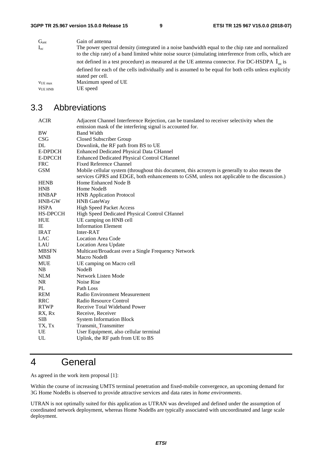| G <sub>ant</sub> | Gain of antenna                                                                                                                                                                                            |
|------------------|------------------------------------------------------------------------------------------------------------------------------------------------------------------------------------------------------------|
| $I_{oc}$         | The power spectral density (integrated in a noise bandwidth equal to the chip rate and normalized<br>to the chip rate) of a band limited white noise source (simulating interference from cells, which are |
|                  | not defined in a test procedure) as measured at the UE antenna connector. For DC-HSDPA $I_{\infty}$ is                                                                                                     |
|                  | defined for each of the cells individually and is assumed to be equal for both cells unless explicitly<br>stated per cell.                                                                                 |
| VUE max          | Maximum speed of UE                                                                                                                                                                                        |
| <b>VUE HNB</b>   | UE speed                                                                                                                                                                                                   |

# 3.3 Abbreviations

| <b>ACIR</b>    | Adjacent Channel Interference Rejection, can be translated to receiver selectivity when the                                                                                                  |
|----------------|----------------------------------------------------------------------------------------------------------------------------------------------------------------------------------------------|
|                | emission mask of the interfering signal is accounted for.                                                                                                                                    |
| BW             | <b>Band Width</b>                                                                                                                                                                            |
| <b>CSG</b>     | Closed Subscriber Group                                                                                                                                                                      |
| DL             | Downlink, the RF path from BS to UE                                                                                                                                                          |
| <b>E-DPDCH</b> | <b>Enhanced Dedicated Physical Data CHannel</b>                                                                                                                                              |
| E-DPCCH        | <b>Enhanced Dedicated Physical Control CHannel</b>                                                                                                                                           |
| <b>FRC</b>     | <b>Fixed Reference Channel</b>                                                                                                                                                               |
| <b>GSM</b>     | Mobile cellular system (throughout this document, this acronym is generally to also means the<br>services GPRS and EDGE, both enhancements to GSM, unless not applicable to the discussion.) |
| <b>HENB</b>    | Home Enhanced Node B                                                                                                                                                                         |
| <b>HNB</b>     | Home NodeB                                                                                                                                                                                   |
| <b>HNBAP</b>   | <b>HNB</b> Application Protocol                                                                                                                                                              |
| HNB-GW         | <b>HNB</b> GateWay                                                                                                                                                                           |
| <b>HSPA</b>    | <b>High Speed Packet Access</b>                                                                                                                                                              |
| HS-DPCCH       | High Speed Dedicated Physical Control CHannel                                                                                                                                                |
| <b>HUE</b>     | UE camping on HNB cell                                                                                                                                                                       |
| IE             | <b>Information Element</b>                                                                                                                                                                   |
| <b>IRAT</b>    | Inter-RAT                                                                                                                                                                                    |
| LAC            | <b>Location Area Code</b>                                                                                                                                                                    |
| LAU            | Location Area Update                                                                                                                                                                         |
| <b>MBSFN</b>   | Multicast/Broadcast over a Single Frequency Network                                                                                                                                          |
| <b>MNB</b>     | Macro NodeB                                                                                                                                                                                  |
| <b>MUE</b>     | UE camping on Macro cell                                                                                                                                                                     |
| NB             | NodeB                                                                                                                                                                                        |
| <b>NLM</b>     | Network Listen Mode                                                                                                                                                                          |
| <b>NR</b>      | Noise Rise                                                                                                                                                                                   |
| PL             | Path Loss                                                                                                                                                                                    |
| <b>REM</b>     | Radio Environment Measurement                                                                                                                                                                |
| <b>RRC</b>     | Radio Resource Control                                                                                                                                                                       |
| <b>RTWP</b>    | Receive Total Wideband Power                                                                                                                                                                 |
| RX, Rx         | Receive, Receiver                                                                                                                                                                            |
| <b>SIB</b>     | <b>System Information Block</b>                                                                                                                                                              |
| TX, Tx         | Transmit, Transmitter                                                                                                                                                                        |
| UE             | User Equipment, also cellular terminal                                                                                                                                                       |
| UL             | Uplink, the RF path from UE to BS                                                                                                                                                            |
|                |                                                                                                                                                                                              |

# 4 General

As agreed in the work item proposal [1]:

Within the course of increasing UMTS terminal penetration and fixed-mobile convergence, an upcoming demand for 3G Home NodeBs is observed to provide attractive services and data rates in *home environments*.

UTRAN is not optimally suited for this application as UTRAN was developed and defined under the assumption of coordinated network deployment, whereas Home NodeBs are typically associated with uncoordinated and large scale deployment.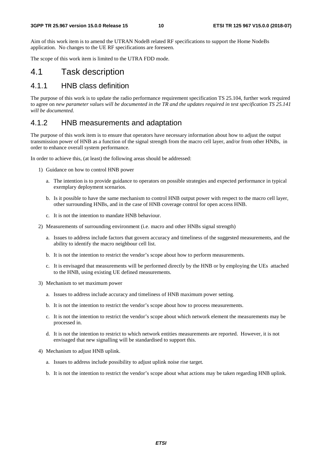Aim of this work item is to amend the UTRAN NodeB related RF specifications to support the Home NodeBs application. No changes to the UE RF specifications are foreseen.

The scope of this work item is limited to the UTRA FDD mode.

### 4.1 Task description

### 4.1.1 HNB class definition

The purpose of this work is to update the radio performance requirement specification TS 25.104, further work required to agree on *new parameter values will be documented in the TR and the updates required in test specification TS 25.141 will be documented.*

#### 4.1.2 HNB measurements and adaptation

The purpose of this work item is to ensure that operators have necessary information about how to adjust the output transmission power of HNB as a function of the signal strength from the macro cell layer, and/or from other HNBs, in order to enhance overall system performance.

In order to achieve this, (at least) the following areas should be addressed:

- 1) Guidance on how to control HNB power
	- a. The intention is to provide guidance to operators on possible strategies and expected performance in typical exemplary deployment scenarios.
	- b. Is it possible to have the same mechanism to control HNB output power with respect to the macro cell layer, other surrounding HNBs, and in the case of HNB coverage control for open access HNB.
	- c. It is not the intention to mandate HNB behaviour.
- 2) Measurements of surrounding environment (i.e. macro and other HNBs signal strength)
	- a. Issues to address include factors that govern accuracy and timeliness of the suggested measurements, and the ability to identify the macro neighbour cell list.
	- b. It is not the intention to restrict the vendor's scope about how to perform measurements.
	- c. It is envisaged that measurements will be performed directly by the HNB or by employing the UEs attached to the HNB, using existing UE defined measurements.
- 3) Mechanism to set maximum power
	- a. Issues to address include accuracy and timeliness of HNB maximum power setting.
	- b. It is not the intention to restrict the vendor's scope about how to process measurements.
	- c. It is not the intention to restrict the vendor's scope about which network element the measurements may be processed in.
	- d. It is not the intention to restrict to which network entities measurements are reported. However, it is not envisaged that new signalling will be standardised to support this.
- 4) Mechanism to adjust HNB uplink.
	- a. Issues to address include possibility to adjust uplink noise rise target.
	- b. It is not the intention to restrict the vendor's scope about what actions may be taken regarding HNB uplink.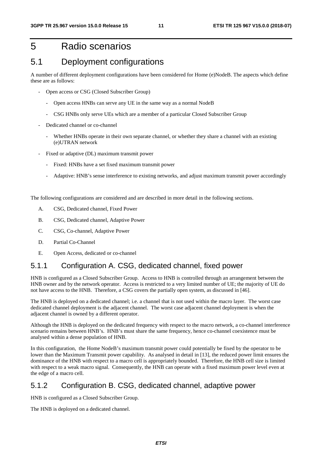# 5 Radio scenarios

### 5.1 Deployment configurations

A number of different deployment configurations have been considered for Home (e)NodeB. The aspects which define these are as follows:

- Open access or CSG (Closed Subscriber Group)
	- Open access HNBs can serve any UE in the same way as a normal NodeB
	- CSG HNBs only serve UEs which are a member of a particular Closed Subscriber Group
- Dedicated channel or co-channel
	- Whether HNBs operate in their own separate channel, or whether they share a channel with an existing (e)UTRAN network
- Fixed or adaptive (DL) maximum transmit power
	- Fixed: HNBs have a set fixed maximum transmit power
	- Adaptive: HNB's sense interference to existing networks, and adjust maximum transmit power accordingly

The following configurations are considered and are described in more detail in the following sections.

- A. CSG, Dedicated channel, Fixed Power
- B. CSG, Dedicated channel, Adaptive Power
- C. CSG, Co-channel, Adaptive Power
- D. Partial Co-Channel
- E. Open Access, dedicated or co-channel

### 5.1.1 Configuration A. CSG, dedicated channel, fixed power

HNB is configured as a Closed Subscriber Group. Access to HNB is controlled through an arrangement between the HNB owner and by the network operator. Access is restricted to a very limited number of UE; the majority of UE do not have access to the HNB. Therefore, a CSG covers the partially open system, as discussed in [46].

The HNB is deployed on a dedicated channel; i.e. a channel that is not used within the macro layer. The worst case dedicated channel deployment is the adjacent channel. The worst case adjacent channel deployment is when the adjacent channel is owned by a different operator.

Although the HNB is deployed on the dedicated frequency with respect to the macro network, a co-channel interference scenario remains between HNB's. HNB's must share the same frequency, hence co-channel coexistence must be analysed within a dense population of HNB.

In this configuration, the Home NodeB's maximum transmit power could potentially be fixed by the operator to be lower than the Maximum Transmit power capability. As analysed in detail in [13], the reduced power limit ensures the dominance of the HNB with respect to a macro cell is appropriately bounded. Therefore, the HNB cell size is limited with respect to a weak macro signal. Consequently, the HNB can operate with a fixed maximum power level even at the edge of a macro cell.

### 5.1.2 Configuration B. CSG, dedicated channel, adaptive power

HNB is configured as a Closed Subscriber Group.

The HNB is deployed on a dedicated channel.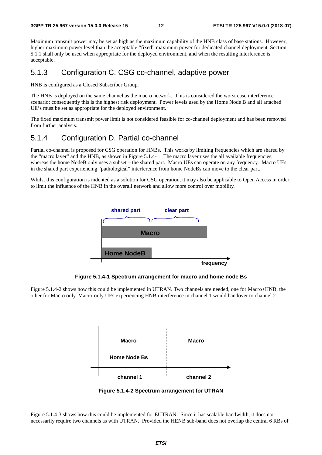Maximum transmit power may be set as high as the maximum capability of the HNB class of base stations. However, higher maximum power level than the acceptable "fixed" maximum power for dedicated channel deployment, Section 5.1.1 shall only be used when appropriate for the deployed environment, and when the resulting interference is acceptable.

### 5.1.3 Configuration C. CSG co-channel, adaptive power

HNB is configured as a Closed Subscriber Group.

The HNB is deployed on the same channel as the macro network. This is considered the worst case interference scenario; consequently this is the highest risk deployment. Power levels used by the Home Node B and all attached UE's must be set as appropriate for the deployed environment.

The fixed maximum transmit power limit is not considered feasible for co-channel deployment and has been removed from further analysis.

### 5.1.4 Configuration D. Partial co-channel

Partial co-channel is proposed for CSG operation for HNBs. This works by limiting frequencies which are shared by the "macro layer" and the HNB, as shown in Figure 5.1.4-1. The macro layer uses the all available frequencies, whereas the home NodeB only uses a subset – the shared part. Macro UEs can operate on any frequency. Macro UEs in the shared part experiencing "pathological" interference from home NodeBs can move to the clear part.

Whilst this configuration is indented as a solution for CSG operation, it may also be applicable to Open Access in order to limit the influence of the HNB in the overall network and allow more control over mobility.



**Figure 5.1.4-1 Spectrum arrangement for macro and home node Bs** 

Figure 5.1.4-2 shows how this could be implemented in UTRAN. Two channels are needed, one for Macro+HNB, the other for Macro only. Macro-only UEs experiencing HNB interference in channel 1 would handover to channel 2.



**Figure 5.1.4-2 Spectrum arrangement for UTRAN** 

Figure 5.1.4-3 shows how this could be implemented for EUTRAN. Since it has scalable bandwidth, it does not necessarily require two channels as with UTRAN. Provided the HENB sub-band does not overlap the central 6 RBs of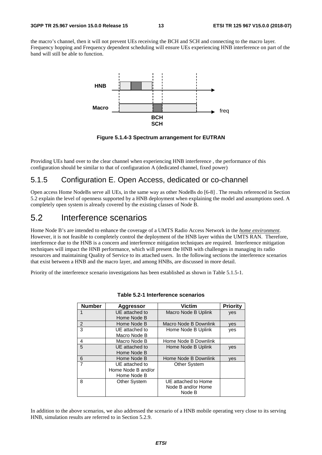the macro's channel, then it will not prevent UEs receiving the BCH and SCH and connecting to the macro layer. Frequency hopping and Frequency dependent scheduling will ensure UEs experiencing HNB interference on part of the band will still be able to function.



**Figure 5.1.4-3 Spectrum arrangement for EUTRAN** 

Providing UEs hand over to the clear channel when experiencing HNB interference , the performance of this configuration should be similar to that of configuration A (dedicated channel, fixed power)

### 5.1.5 Configuration E. Open Access, dedicated or co-channel

Open access Home NodeBs serve all UEs, in the same way as other NodeBs do [6-8] . The results referenced in Section 5.2 explain the level of openness supported by a HNB deployment when explaining the model and assumptions used. A completely open system is already covered by the existing classes of Node B.

### 5.2 Interference scenarios

Home Node B's are intended to enhance the coverage of a UMTS Radio Access Network in the *home environment*. However, it is not feasible to completely control the deployment of the HNB layer within the UMTS RAN. Therefore, interference due to the HNB is a concern and interference mitigation techniques are required. Interference mitigation techniques will impact the HNB performance, which will present the HNB with challenges in managing its radio resources and maintaining Quality of Service to its attached users. In the following sections the interference scenarios that exist between a HNB and the macro layer, and among HNBs, are discussed in more detail.

Priority of the interference scenario investigations has been established as shown in Table 5.1.5-1.

| <b>Number</b> | Aggressor           | <b>Victim</b>         | <b>Priority</b> |
|---------------|---------------------|-----------------------|-----------------|
|               | UE attached to      | Macro Node B Uplink   | yes             |
|               | Home Node B         |                       |                 |
| 2             | Home Node B         | Macro Node B Downlink | yes             |
| 3             | UE attached to      | Home Node B Uplink    | yes             |
|               | Macro Node B        |                       |                 |
| 4             | Macro Node B        | Home Node B Downlink  |                 |
| 5             | UE attached to      | Home Node B Uplink    | yes             |
|               | Home Node B         |                       |                 |
| 6             | Home Node B         | Home Node B Downlink  | ves             |
|               | UE attached to      | <b>Other System</b>   |                 |
|               | Home Node B and/or  |                       |                 |
|               | Home Node B         |                       |                 |
| 8             | <b>Other System</b> | UE attached to Home   |                 |
|               |                     | Node B and/or Home    |                 |
|               |                     | Node B                |                 |

**Table 5.2-1 Interference scenarios** 

In addition to the above scenarios, we also addressed the scenario of a HNB mobile operating very close to its serving HNB, simulation results are referred to in Section 5.2.9.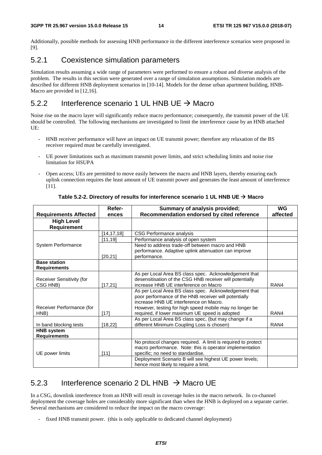Additionally, possible methods for assessing HNB performance in the different interference scenarios were proposed in [9].

### 5.2.1 Coexistence simulation parameters

Simulation results assuming a wide range of parameters were performed to ensure a robust and diverse analysis of the problem. The results in this section were generated over a range of simulation assumptions. Simulation models are described for different HNB deployment scenarios in [10-14]. Models for the dense urban apartment building, HNB-Macro are provided in [12,16].

### 5.2.2 Interference scenario 1 UL HNB UE  $\rightarrow$  Macro

Noise rise on the macro layer will significantly reduce macro performance; consequently, the transmit power of the UE should be controlled. The following mechanisms are investigated to limit the interference cause by an HNB attached UE:

- HNB receiver performance will have an impact on UE transmit power; therefore any relaxation of the BS receiver required must be carefully investigated.
- UE power limitations such as maximum transmit power limits, and strict scheduling limits and noise rise limitation for HSUPA
- Open access; UEs are permitted to move easily between the macro and HNB layers, thereby ensuring each uplink connection requires the least amount of UE transmit power and generates the least amount of interference [11].

|                              | Refer-       | Summary of analysis provided;                                | WG       |
|------------------------------|--------------|--------------------------------------------------------------|----------|
| <b>Requirements Affected</b> | ences        | Recommendation endorsed by cited reference                   | affected |
| <b>High Level</b>            |              |                                                              |          |
| <b>Requirement</b>           |              |                                                              |          |
|                              | [14, 17, 18] | CSG Performance analysis                                     |          |
|                              | [11, 19]     | Performance analysis of open system                          |          |
| <b>System Performance</b>    |              | Need to address trade-off between macro and HNB              |          |
|                              |              | performance. Adaptive uplink attenuation can improve         |          |
|                              | [20, 21]     | performance.                                                 |          |
| <b>Base station</b>          |              |                                                              |          |
| <b>Requirements</b>          |              |                                                              |          |
|                              |              | As per Local Area BS class spec. Acknowledgement that        |          |
| Receiver Sensitivity (for    |              | desensitisation of the CSG HNB receiver will potentially     |          |
| CSG HNB)                     | [17, 21]     | increase HNB UE interference on Macro                        | RAN4     |
|                              |              | As per Local Area BS class spec. Acknowledgement that        |          |
|                              |              | poor performance of the HNB receiver will potentially        |          |
|                              |              | increase HNB UE interference on Macro.                       |          |
| Receiver Performance (for    |              | However, testing for high speed mobile may no longer be      |          |
| HNB)                         | $[17]$       | required, if lower maximum UE speed is adopted               | RAN4     |
|                              |              | As per Local Area BS class spec, (but may change if a        |          |
| In band blocking tests       | [18, 22]     | different Minimum Coupling Loss is chosen)                   | RAN4     |
| <b>HNB system</b>            |              |                                                              |          |
| <b>Requirements</b>          |              |                                                              |          |
|                              |              | No protocol changes required. A limit is required to protect |          |
|                              |              | macro performance. Note: this is operator implementation     |          |
| UE power limits              | [11]         | specific; no need to standardise.                            |          |
|                              |              | Deployment Scenario B will see highest UE power levels;      |          |
|                              |              | hence most likely to require a limit.                        |          |

**Table 5.2-2. Directory of results for interference scenario 1 UL HNB UE Macro** 

### 5.2.3 Interference scenario 2 DL HNB  $\rightarrow$  Macro UE

In a CSG, downlink interference from an HNB will result in coverage holes in the macro network. In co-channel deployment the coverage holes are considerably more significant than when the HNB is deployed on a separate carrier. Several mechanisms are considered to reduce the impact on the macro coverage:

- fixed HNB transmit power. (this is only applicable to dedicated channel deployment)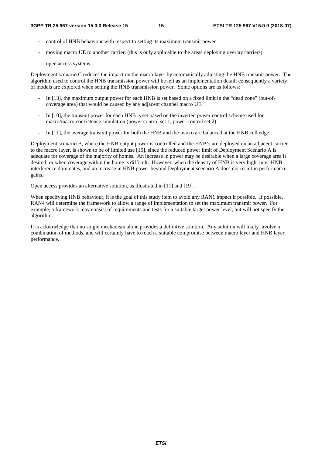- control of HNB behaviour with respect to setting its maximum transmit power
- moving macro UE to another carrier. (this is only applicable to the areas deploying overlay carriers)
- open access systems.

Deployment scenario C reduces the impact on the macro layer by automatically adjusting the HNB transmit power. The algorithm used to control the HNB transmission power will be left as an implementation detail; consequently a variety of models are explored when setting the HNB transmission power. Some options are as follows:

- In [13], the maximum output power for each HNB is set based on a fixed limit in the "dead zone" (out-ofcoverage area) that would be caused by any adjacent channel macro UE.
- In [10], the transmit power for each HNB is set based on the inverted power control scheme used for macro/macro coexistence simulation (power control set 1, power control set 2)
- In [11], the average transmit power for both the HNB and the macro are balanced at the HNB cell edge.

Deployment scenario B, where the HNB output power is controlled and the HNB's are deployed on an adjacent carrier to the macro layer, is shown to be of limited use [15], since the reduced power limit of Deployment Scenario A is adequate for coverage of the majority of homes. An increase in power may be desirable when a large coverage area is desired, or when coverage within the home is difficult. However, when the density of HNB is very high, inter-HNB interference dominates, and an increase in HNB power beyond Deployment scenario A does not result in performance gains.

Open access provides an alternative solution, as illustrated in [11] and [19].

When specifying HNB behaviour, it is the goal of this study item to avoid any RAN1 impact if possible. If possible, RAN4 will determine the framework to allow a range of implementation to set the maximum transmit power. For example, a framework may consist of requirements and tests for a suitable target power level, but will not specify the algorithm.

It is acknowledge that no single mechanism alone provides a definitive solution. Any solution will likely involve a combination of methods, and will certainly have to reach a suitable compromise between macro layer and HNB layer performance.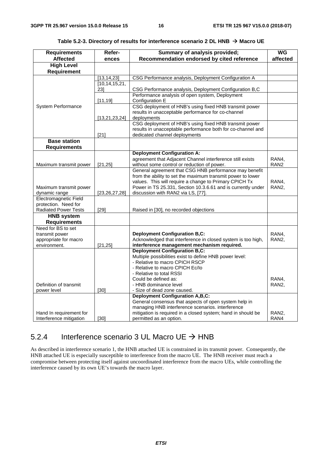| <b>Requirements</b>              | Refer-           | Summary of analysis provided;                                | <b>WG</b>        |
|----------------------------------|------------------|--------------------------------------------------------------|------------------|
| <b>Affected</b>                  | ences            | Recommendation endorsed by cited reference                   | affected         |
| <b>High Level</b><br>Requirement |                  |                                                              |                  |
|                                  | [13, 14, 23]     | CSG Performance analysis, Deployment Configuration A         |                  |
|                                  | [10, 14, 15, 21, |                                                              |                  |
|                                  | 231              | CSG Performance analysis, Deployment Configuration B,C       |                  |
|                                  |                  | Performance analysis of open system, Deployment              |                  |
|                                  | [11, 19]         | Configuration E                                              |                  |
| System Performance               |                  | CSG deployment of HNB's using fixed HNB transmit power       |                  |
|                                  |                  | results in unacceptable performance for co-channel           |                  |
|                                  | [13, 21, 23, 24] | deployments                                                  |                  |
|                                  |                  | CSG deployment of HNB's using fixed HNB transmit power       |                  |
|                                  |                  | results in unacceptable performance both for co-channel and  |                  |
|                                  | $[21]$           | dedicated channel deployments                                |                  |
| <b>Base station</b>              |                  |                                                              |                  |
| <b>Requirements</b>              |                  |                                                              |                  |
|                                  |                  | <b>Deployment Configuration A:</b>                           |                  |
|                                  |                  | agreement that Adjacent Channel interference still exists    | RAN4,            |
| Maximum transmit power           | [21, 25]         | without some control or reduction of power.                  | RAN <sub>2</sub> |
|                                  |                  | General agreement that CSG HNB performance may benefit       |                  |
|                                  |                  | from the ability to set the maximum transmit power to lower  |                  |
|                                  |                  | values. This will require a change to Primary CPICH Tx       | RAN4,            |
| Maximum transmit power           |                  | Power in TS 25.331, Section 10.3.6.61 and is currently under | RAN <sub>2</sub> |
| dynamic range                    | [23, 26, 27, 28] | discussion with RAN2 via LS, [77].                           |                  |
| Electromagnetic Field            |                  |                                                              |                  |
| protection. Need for             |                  |                                                              |                  |
| <b>Radiated Power Tests</b>      | [29]             | Raised in [30], no recorded objections                       |                  |
| <b>HNB system</b>                |                  |                                                              |                  |
| <b>Requirements</b>              |                  |                                                              |                  |
| Need for BS to set               |                  |                                                              |                  |
| transmit power                   |                  | <b>Deployment Configuration B,C:</b>                         | RAN4,            |
| appropriate for macro            |                  | Acknowledged that interference in closed system is too high, | RAN2,            |
| environment.                     | [21, 25]         | interference management mechanism required.                  |                  |
|                                  |                  | <b>Deployment Configuration B,C:</b>                         |                  |
|                                  |                  | Multiple possibilities exist to define HNB power level:      |                  |
|                                  |                  | - Relative to macro CPICH RSCP                               |                  |
|                                  |                  | - Relative to macro CPICH Ec/lo                              |                  |
|                                  |                  | - Relative to total RSSI                                     |                  |
|                                  |                  | Could be defined as:                                         | RAN4,            |
| Definition of transmit           |                  | - HNB dominance level                                        | RAN <sub>2</sub> |
| power level                      | $[30]$           | - Size of dead zone caused.                                  |                  |
|                                  |                  | <b>Deployment Configuration A,B,C:</b>                       |                  |
|                                  |                  | General consensus that aspects of open system help in        |                  |
|                                  |                  | managing HNB interference scenarios. interference            |                  |
| Hand In requirement for          |                  | mitigation is required in a closed system; hand in should be | RAN2,            |
| Interference mitigation          | $[30]$           | permitted as an option.                                      | RAN4             |

Table 5.2-3. Directory of results for interference scenario 2 DL HNB → Macro UE

### 5.2.4 Interference scenario 3 UL Macro UE  $\rightarrow$  HNB

As described in interference scenario 1, the HNB attached UE is constrained in its transmit power. Consequently, the HNB attached UE is especially susceptible to interference from the macro UE. The HNB receiver must reach a compromise between protecting itself against uncoordinated interference from the macro UEs, while controlling the interference caused by its own UE's towards the macro layer.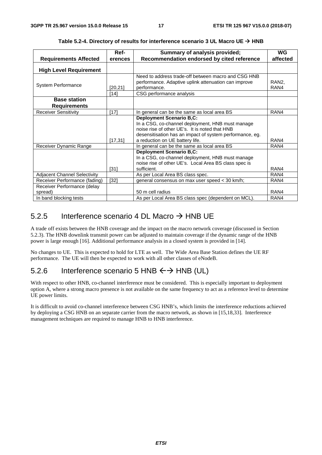|                                                                  | Ref-             | Summary of analysis provided;                                                                                                                                                                                                        | WG            |
|------------------------------------------------------------------|------------------|--------------------------------------------------------------------------------------------------------------------------------------------------------------------------------------------------------------------------------------|---------------|
| <b>Requirements Affected</b>                                     | erences          | Recommendation endorsed by cited reference                                                                                                                                                                                           | affected      |
| <b>High Level Requirement</b>                                    |                  |                                                                                                                                                                                                                                      |               |
| <b>System Performance</b>                                        | [20, 21]<br>[14] | Need to address trade-off between macro and CSG HNB<br>performance. Adaptive uplink attenuation can improve<br>performance.<br>CSG performance analysis                                                                              | RAN2.<br>RAN4 |
| <b>Base station</b><br><b>Requirements</b>                       |                  |                                                                                                                                                                                                                                      |               |
| <b>Receiver Sensitivity</b>                                      | [17]             | In general can be the same as local area BS                                                                                                                                                                                          | RAN4          |
|                                                                  | [17, 31]         | <b>Deployment Scenario B,C:</b><br>In a CSG, co-channel deployment, HNB must manage<br>noise rise of other UE's. It is noted that HNB<br>desensitisation has an impact of system performance, eg.<br>a reduction on UE battery life. | RAN4          |
| Receiver Dynamic Range                                           |                  | In general can be the same as local area BS                                                                                                                                                                                          | RAN4          |
|                                                                  | [31]             | <b>Deployment Scenario B,C:</b><br>In a CSG, co-channel deployment, HNB must manage<br>noise rise of other UE's. Local Area BS class spec is<br>sufficient.                                                                          | RAN4          |
| <b>Adjacent Channel Selectivity</b>                              |                  | As per Local Area BS class spec.                                                                                                                                                                                                     | RAN4          |
| Receiver Performance (fading)                                    | $[32]$           | general consensus on max user speed < 30 km/h;                                                                                                                                                                                       | RAN4          |
| Receiver Performance (delay<br>spread)<br>In band blocking tests |                  | 50 m cell radius<br>As per Local Area BS class spec (dependent on MCL).                                                                                                                                                              | RAN4<br>RAN4  |

Table 5.2-4. Directory of results for interference scenario 3 UL Macro UE → HNB

### 5.2.5 Interference scenario 4 DL Macro  $\rightarrow$  HNB UE

A trade off exists between the HNB coverage and the impact on the macro network coverage (discussed in Section 5.2.3). The HNB downlink transmit power can be adjusted to maintain coverage if the dynamic range of the HNB power is large enough [16]. Additional performance analysis in a closed system is provided in [14].

No changes to UE. This is expected to hold for LTE as well. The Wide Area Base Station defines the UE RF performance. The UE will then be expected to work with all other classes of eNodeB.

### 5.2.6 Interference scenario 5 HNB  $\leftrightarrow$  HNB (UL)

With respect to other HNB, co-channel interference must be considered. This is especially important to deployment option A, where a strong macro presence is not available on the same frequency to act as a reference level to determine UE power limits.

It is difficult to avoid co-channel interference between CSG HNB's, which limits the interference reductions achieved by deploying a CSG HNB on an separate carrier from the macro network, as shown in [15,18,33]. Interference management techniques are required to manage HNB to HNB interference.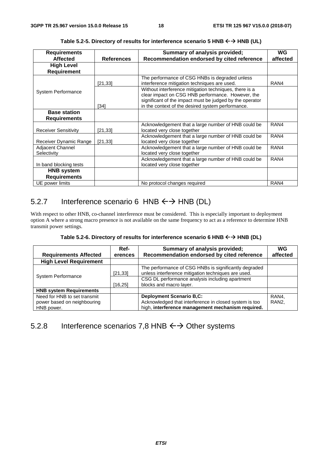| <b>Requirements</b>         |                   | Summary of analysis provided;                            | <b>WG</b> |
|-----------------------------|-------------------|----------------------------------------------------------|-----------|
| <b>Affected</b>             | <b>References</b> | Recommendation endorsed by cited reference               | affected  |
| <b>High Level</b>           |                   |                                                          |           |
| <b>Requirement</b>          |                   |                                                          |           |
|                             |                   | The performance of CSG HNBs is degraded unless           |           |
|                             | [21, 33]          | interference mitigation techniques are used.             | RAN4      |
| <b>System Performance</b>   |                   | Without interference mitigation techniques, there is a   |           |
|                             |                   | clear impact on CSG HNB performance. However, the        |           |
|                             |                   | significant of the impact must be judged by the operator |           |
|                             | $[34]$            | in the context of the desired system performance.        |           |
| <b>Base station</b>         |                   |                                                          |           |
| <b>Requirements</b>         |                   |                                                          |           |
|                             |                   | Acknowledgement that a large number of HNB could be      | RAN4      |
| <b>Receiver Sensitivity</b> | [21,33]           | located very close together                              |           |
|                             |                   | Acknowledgement that a large number of HNB could be      | RAN4      |
| Receiver Dynamic Range      | [21, 33]          | located very close together                              |           |
| Adjacent Channel            |                   | Acknowledgement that a large number of HNB could be      | RAN4      |
| Selectivity                 |                   | located very close together                              |           |
|                             |                   | Acknowledgement that a large number of HNB could be      | RAN4      |
| In band blocking tests      |                   | located very close together                              |           |
| <b>HNB</b> system           |                   |                                                          |           |
| <b>Requirements</b>         |                   |                                                          |           |
| UE power limits             |                   | No protocol changes required                             | RAN4      |

Table 5.2-5. Directory of results for interference scenario 5 HNB  $\leftrightarrow$  HNB (UL)

### 5.2.7 Interference scenario 6 HNB  $\leftrightarrow$  HNB (DL)

With respect to other HNB, co-channel interference must be considered. This is especially important to deployment option A where a strong macro presence is not available on the same frequency to act as a reference to determine HNB transmit power settings.

Table 5.2-6. Directory of results for interference scenario 6 HNB  $\leftrightarrow$  HNB (DL)

| <b>Requirements Affected</b>   | Ref-<br>erences | Summary of analysis provided;<br>Recommendation endorsed by cited reference | WG<br>affected     |
|--------------------------------|-----------------|-----------------------------------------------------------------------------|--------------------|
| <b>High Level Requirement</b>  |                 |                                                                             |                    |
|                                |                 |                                                                             |                    |
|                                |                 | The performance of CSG HNBs is significantly degraded                       |                    |
|                                | [21, 33]        | unless interference mitigation techniques are used.                         |                    |
| <b>System Performance</b>      |                 | CSG DL performance analysis including apartment                             |                    |
|                                | [16, 25]        | blocks and macro layer.                                                     |                    |
| <b>HNB system Requirements</b> |                 |                                                                             |                    |
| Need for HNB to set transmit   |                 | <b>Deployment Scenario B,C:</b>                                             | RAN4.              |
| power based on neighbouring    |                 | Acknowledged that interference in closed system is too                      | RAN <sub>2</sub> . |
| HNB power.                     |                 | high, interference management mechanism required.                           |                    |

### 5.2.8 Interference scenarios 7,8 HNB  $\leftrightarrow$  Other systems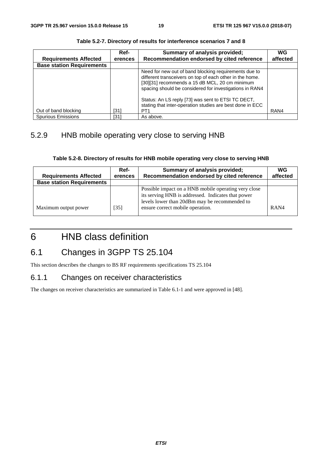|                                  | Ref-    | Summary of analysis provided;                                                                                                                                                                                                  | WG       |
|----------------------------------|---------|--------------------------------------------------------------------------------------------------------------------------------------------------------------------------------------------------------------------------------|----------|
| <b>Requirements Affected</b>     | erences | Recommendation endorsed by cited reference                                                                                                                                                                                     | affected |
| <b>Base station Requirements</b> |         |                                                                                                                                                                                                                                |          |
|                                  |         | Need for new out of band blocking requirements due to<br>different transceivers on top of each other in the home.<br>[30][31] recommends a 15 dB MCL, 20 cm minimum<br>spacing should be considered for investigations in RAN4 |          |
| Out of band blocking             | [31]    | Status: An LS reply [73] was sent to ETSI TC DECT,<br>stating that inter-operation studies are best done in ECC<br>PT <sub>1</sub>                                                                                             | RAN4     |
| <b>Spurious Emissions</b>        | [31]    | As above.                                                                                                                                                                                                                      |          |

**Table 5.2-7. Directory of results for interference scenarios 7 and 8** 

### 5.2.9 HNB mobile operating very close to serving HNB

| <b>Requirements Affected</b>     | Ref-<br>erences | Summary of analysis provided;<br>Recommendation endorsed by cited reference                                                                                 | WG<br>affected |
|----------------------------------|-----------------|-------------------------------------------------------------------------------------------------------------------------------------------------------------|----------------|
| <b>Base station Requirements</b> |                 |                                                                                                                                                             |                |
|                                  |                 | Possible impact on a HNB mobile operating very close<br>its serving HNB is addressed. Indicates that power<br>levels lower than 20dBm may be recommended to |                |
| Maximum output power             | [35]            | ensure correct mobile operation.                                                                                                                            | RAN4           |

# 6 HNB class definition

# 6.1 Changes in 3GPP TS 25.104

This section describes the changes to BS RF requirements specifications TS 25.104

### 6.1.1 Changes on receiver characteristics

The changes on receiver characteristics are summarized in Table 6.1-1 and were approved in [48].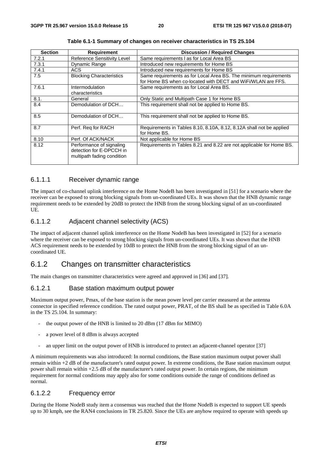| <b>Section</b> | <b>Requirement</b>                                                                 | <b>Discussion / Required Changes</b>                                                                                             |
|----------------|------------------------------------------------------------------------------------|----------------------------------------------------------------------------------------------------------------------------------|
| 7.2.1          | Reference Sensitivity Level                                                        | Same requirements I as for Local Area BS                                                                                         |
| 7.3.1          | Dynamic Range                                                                      | Introduced new requirements for Home BS                                                                                          |
| 7.4.1          | ACS                                                                                | Introduced new requirements for Home BS                                                                                          |
| 7.5            | <b>Blocking Characteristics</b>                                                    | Same requirements as for Local Area BS. The minimum requirements<br>for Home BS when co-located with DECT and WiFi/WLAN are FFS. |
| 7.6.1          | Intermodulation<br>characteristics                                                 | Same requirements as for Local Area BS.                                                                                          |
| 8.1.           | General                                                                            | Only Static and Multipath Case 1 for Home BS                                                                                     |
| 8.4            | Demodulation of DCH                                                                | This requirement shall not be applied to Home BS.                                                                                |
| 8.5            | Demodulation of DCH                                                                | This requirement shall not be applied to Home BS.                                                                                |
| 8.7            | Perf. Req for RACH                                                                 | Requirements in Tables 8.10, 8.10A, 8.12, 8.12A shall not be applied<br>for Home BS.                                             |
| 8.10           | Perf. Of ACK/NACK                                                                  | Not applicable for Home BS                                                                                                       |
| 8.12           | Performance of signaling<br>detection for E-DPCCH in<br>multipath fading condition | Requirements in Tables 8.21 and 8.22 are not applicable for Home BS.                                                             |

**Table 6.1-1 Summary of changes on receiver characteristics in TS 25.104** 

#### 6.1.1.1 Receiver dynamic range

The impact of co-channel uplink interference on the Home NodeB has been investigated in [51] for a scenario where the receiver can be exposed to strong blocking signals from un-coordinated UEs. It was shown that the HNB dynamic range requirement needs to be extended by 20dB to protect the HNB from the strong blocking signal of an un-coordinated UE.

#### 6.1.1.2 Adjacent channel selectivity (ACS)

The impact of adjacent channel uplink interference on the Home NodeB has been investigated in [52] for a scenario where the receiver can be exposed to strong blocking signals from un-coordinated UEs. It was shown that the HNB ACS requirement needs to be extended by 10dB to protect the HNB from the strong blocking signal of an uncoordinated UE.

### 6.1.2 Changes on transmitter characteristics

The main changes on transmitter characteristics were agreed and approved in [36] and [37].

#### 6.1.2.1 Base station maximum output power

Maximum output power, Pmax, of the base station is the mean power level per carrier measured at the antenna connector in specified reference condition. The rated output power, PRAT, of the BS shall be as specified in Table 6.0A in the TS 25.104. In summary:

- the output power of the HNB is limited to 20 dBm (17 dBm for MIMO)
- a power level of 8 dBm is always accepted
- an upper limit on the output power of HNB is introduced to protect an adjacent-channel operator [37]

A minimum requirements was also introduced: In normal conditions, the Base station maximum output power shall remain within +2 dB of the manufacturer's rated output power. In extreme conditions, the Base station maximum output power shall remain within +2.5 dB of the manufacturer's rated output power. In certain regions, the minimum requirement for normal conditions may apply also for some conditions outside the range of conditions defined as normal.

#### 6.1.2.2 Frequency error

During the Home NodeB study item a consensus was reached that the Home NodeB is expected to support UE speeds up to 30 kmph, see the RAN4 conclusions in TR 25.820. Since the UEs are anyhow required to operate with speeds up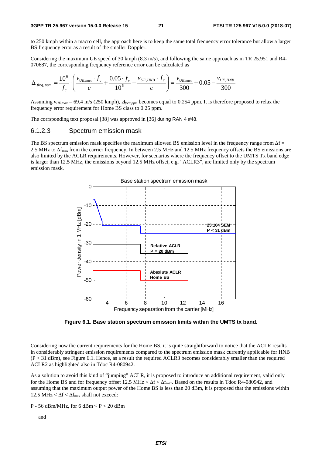to 250 kmph within a macro cell, the approach here is to keep the same total frequency error tolerance but allow a larger BS frequency error as a result of the smaller Doppler.

Considering the maximum UE speed of 30 kmph (8.3 m/s), and following the same approach as in TR 25.951 and R4- 070687, the corresponding frequency reference error can be calculated as

$$
\Delta_{freq,ppm} = \frac{10^6}{f_c} \cdot \left( \frac{v_{UE,max} \cdot f_c}{c} + \frac{0.05 \cdot f_c}{10^6} - \frac{v_{UE, HNB} \cdot f_c}{c} \right) = \frac{v_{UE,max}}{300} + 0.05 - \frac{v_{UE, HNB}}{300}
$$

Assuming *vUE,max* = 69.4 m/s (250 kmph), <sup>Δ</sup>*freq,ppm* becomes equal to 0.254 ppm. It is therefore proposed to relax the frequency error requirement for Home BS class to 0.25 ppm.

The corrsponding text proposal [38] was approved in [36] during RAN 4 #48.

#### 6.1.2.3 Spectrum emission mask

The BS spectrum emission mask specifies the maximum allowed BS emission level in the frequency range from  $\Delta f =$ 2.5 MHz to Δfmax from the carrier frequency. In between 2.5 MHz and 12.5 MHz frequency offsets the BS emissions are also limited by the ACLR requirements. However, for scenarios where the frequency offset to the UMTS Tx band edge is larger than 12.5 MHz, the emissions beyond 12.5 MHz offset, e.g. "ACLR3", are limited only by the spectrum emission mask.



**Figure 6.1. Base station spectrum emission limits within the UMTS tx band.** 

Considering now the current requirements for the Home BS, it is quite straightforward to notice that the ACLR results in considerably stringent emission requirements compared to the spectrum emission mask currently applicable for HNB (P < 31 dBm), see Figure 6.1. Hence, as a result the required ACLR3 becomes considerably smaller than the required ACLR2 as highlighted also in Tdoc R4-080942.

As a solution to avoid this kind of "jumping" ACLR, it is proposed to introduce an additional requirement, valid only for the Home BS and for frequency offset 12.5 MHz  $\lt \Delta f \lt \Delta f_{\text{max}}$ . Based on the results in Tdoc R4-080942, and assuming that the maximum output power of the Home BS is less than 20 dBm, it is proposed that the emissions within 12.5 MHz  $< \Delta f < \Delta f_{max}$  shall not exceed:

P - 56 dBm/MHz, for 6 dBm ≤ P < 20 dBm

and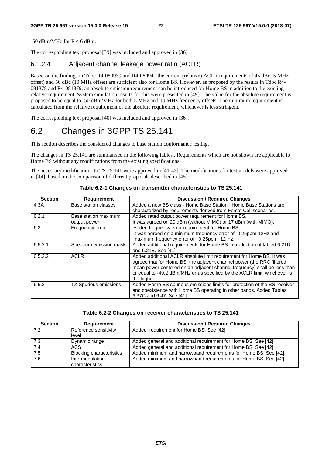$-50$  dBm/MHz for P  $<$  6 dBm.

The corresponding text proposal [39] was included and approved in [36]

#### 6.1.2.4 Adjacent channel leakage power ratio (ACLR)

Based on the findings in Tdoc R4-080939 and R4-080941 the current (relative) ACLR requirements of 45 dBc (5 MHz offset) and 50 dBc (10 MHz offset) are sufficient also for Home BS. However, as proposed by the results in Tdoc R4- 081378 and R4-081379, an absolute emission requirement can be introduced for Home BS in addition to the existing relative requirement. System simulation results for this were presented in [49]. The value for the absolute requirement is proposed to be equal to -50 dBm/MHz for both 5 MHz and 10 MHz frequency offsets. The minimum requirement is calculated from the relative requirement or the absolute requirement, whichever is less stringent.

The corresponding text proposal [40] was included and approved in [36].

# 6.2 Changes in 3GPP TS 25.141

This section describes the considered changes to base station conformance testing.

The changes in TS 25.141 are summarised in the following tables.. Requirements which are not shown are applicable to Home BS without any modifications from the existing specifications.

The necessary modifications to TS 25.141 were approved in [41-43]. The modifications for test models were approved in [44], based on the comparison of different proposals described in [45].

| <b>Section</b> | <b>Requirement</b>                   | <b>Discussion / Required Changes</b>                                                                                                                                                                                                                                                                                  |
|----------------|--------------------------------------|-----------------------------------------------------------------------------------------------------------------------------------------------------------------------------------------------------------------------------------------------------------------------------------------------------------------------|
| 4.3A           | Base station classes                 | Added a new BS class - Home Base Station. Home Base Stations are<br>characterized by requirements derived from Femto Cell scenarios.                                                                                                                                                                                  |
| 6.2.1          | Base station maximum<br>output power | Added rated output power requirement for Home BS.<br>It was agreed on 20 dBm (without MIMO) or 17 dBm (with MIMO).                                                                                                                                                                                                    |
| 6.3            | Frequency error                      | Added frequency error requirement for Home BS<br>It was agreed on a minimum frequency error of -0.25ppm-12Hz and<br>maximum frequency error of +0.25ppm+12 Hz.                                                                                                                                                        |
| 6.5.2.1        | Spectrum emission mask               | Added additional requirements for Home BS. Introduction of tabled 6.21D<br>and 6.21E, See [41].                                                                                                                                                                                                                       |
| 6.5.2.2        | <b>ACLR</b>                          | Added additional ACLR absolute limit requirement for Home BS. It was<br>agreed that for Home BS, the adjacent channel power (the RRC filtered<br>mean power centered on an adjacent channel frequency) shall be less than<br>or equal to -49.2 dBm/MHz or as specified by the ACLR limit, whichever is<br>the higher. |
| 6.5.3          | <b>TX Spurious emissions</b>         | Added Home BS spurious emissions limits for protection of the BS receiver<br>and coexistence with Home BS operating in other bands. Added Tables<br>6.37C and 6.47. See [41].                                                                                                                                         |

#### **Table 6.2-1 Changes on transmitter characteristics to TS 25.141**

#### **Table 6.2-2 Changes on receiver characteristics to TS 25.141**

| <b>Section</b> | Requirement                               | <b>Discussion / Required Changes</b>                             |
|----------------|-------------------------------------------|------------------------------------------------------------------|
| 7.2            | Reference sensitivity<br>level            | Added requirement for Home BS. See [42].                         |
| 7.3            | Dynamic range                             | Added general and additional requirement for Home BS. See [42].  |
| 7.4            | ACS                                       | Added general and additional requirement for Home BS. See [42].  |
| 7.5            | <b>Blocking characteristics</b>           | Added minimum and narrowband requirements for Home BS. See [42]. |
| 7.6            | <b>Intermodulation</b><br>characteristics | Added minimum and narrowband requirements for Home BS. See [42]. |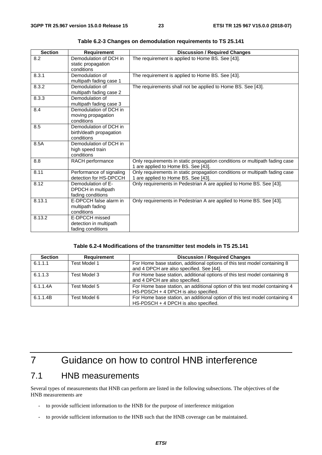| <b>Section</b> | Requirement                                                     | <b>Discussion / Required Changes</b>                                                                               |
|----------------|-----------------------------------------------------------------|--------------------------------------------------------------------------------------------------------------------|
| 8.2            | Demodulation of DCH in<br>static propagation<br>conditions      | The requirement is applied to Home BS. See [43].                                                                   |
| 8.3.1          | Demodulation of<br>multipath fading case 1                      | The requirement is applied to Home BS. See [43].                                                                   |
| 8.3.2          | Demodulation of<br>multipath fading case 2                      | The requirements shall not be applied to Home BS. See [43].                                                        |
| 8.3.3          | Demodulation of<br>multipath fading case 3                      |                                                                                                                    |
| 8.4            | Demodulation of DCH in<br>moving propagation<br>conditions      |                                                                                                                    |
| 8.5            | Demodulation of DCH in<br>birth/death propagation<br>conditions |                                                                                                                    |
| 8.5A           | Demodulation of DCH in<br>high speed train<br>conditions        |                                                                                                                    |
| 8.8            | RACH performance                                                | Only requirements in static propagation conditions or multipath fading case<br>1 are applied to Home BS. See [43]. |
| 8.11           | Performance of signaling<br>detection for HS-DPCCH              | Only requirements in static propagation conditions or multipath fading case<br>1 are applied to Home BS. See [43]. |
| 8.12           | Demodulation of E-<br>DPDCH in multipath<br>fading conditions   | Only requirements in Pedestrian A are applied to Home BS. See [43].                                                |
| 8.13.1         | E-DPCCH false alarm in<br>multipath fading<br>conditions        | Only requirements in Pedestrian A are applied to Home BS. See [43].                                                |
| 8.13.2         | E-DPCCH missed<br>detection in multipath<br>fading conditions   |                                                                                                                    |

**Table 6.2-3 Changes on demodulation requirements to TS 25.141** 

#### **Table 6.2-4 Modifications of the transmitter test models in TS 25.141**

| <b>Section</b> | <b>Requirement</b> | <b>Discussion / Required Changes</b>                                                                                  |
|----------------|--------------------|-----------------------------------------------------------------------------------------------------------------------|
| 6.1.1.1        | Test Model 1       | For Home base station, additional options of this test model containing 8<br>and 4 DPCH are also specified. See [44]. |
| 6.1.1.3        | Test Model 3       | For Home base station, additional options of this test model containing 8<br>and 4 DPCH are also specified.           |
| 6.1.1.4A       | Test Model 5       | For Home base station, an additional option of this test model containing 4<br>HS-PDSCH + 4 DPCH is also specified.   |
| 6.1.1.4B       | Test Model 6       | For Home base station, an additional option of this test model containing 4<br>HS-PDSCH + 4 DPCH is also specified.   |

# 7 Guidance on how to control HNB interference

### 7.1 HNB measurements

Several types of measurements that HNB can perform are listed in the following subsections. The objectives of the HNB measurements are

- to provide sufficient information to the HNB for the purpose of interference mitigation
- to provide sufficient information to the HNB such that the HNB coverage can be maintained.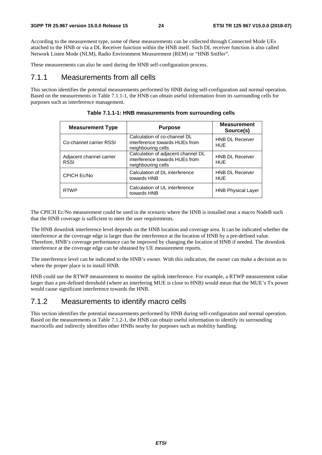According to the measurement type, some of these measurements can be collected through Connected Mode UEs attached to the HNB or via a DL Receiver function within the HNB itself. Such DL receiver function is also called Network Listen Mode (NLM), Radio Environment Measurement (REM) or "HNB Sniffer".

These measurements can also be used during the HNB self-configuration process.

### 7.1.1 Measurements from all cells

This section identifies the potential measurements performed by HNB during self-configuration and normal operation. Based on the measurements in Table 7.1.1-1, the HNB can obtain useful information from its surrounding cells for purposes such as interference management.

| <b>Measurement Type</b>                 | <b>Purpose</b>                                                                             | <b>Measurement</b><br>Source(s)      |
|-----------------------------------------|--------------------------------------------------------------------------------------------|--------------------------------------|
| Co-channel carrier RSSI                 | Calculation of co-channel DL<br>interference towards HUEs from<br>neighbouring cells       | <b>HNB DL Receiver</b><br><b>HUE</b> |
| Adjacent channel carrier<br><b>RSSI</b> | Calculation of adjacent channel DL<br>interference towards HUEs from<br>neighbouring cells | <b>HNB DL Receiver</b><br><b>HUE</b> |
| CPICH Ec/No                             | Calculation of DL interference<br>towards HNB                                              | <b>HNB DL Receiver</b><br><b>HUE</b> |
| <b>RTWP</b>                             | Calculation of UL interference<br>towards HNB                                              | <b>HNB Physical Layer</b>            |

|  | Table 7.1.1-1: HNB measurements from surrounding cells |  |
|--|--------------------------------------------------------|--|
|--|--------------------------------------------------------|--|

The CPICH Ec/No measurement could be used in the scenario where the HNB is installed near a macro NodeB such that the HNB coverage is sufficient to meet the user requirements.

The HNB downlink interference level depends on the HNB location and coverage area. It can be indicated whether the interference at the coverage edge is larger than the interference at the location of HNB by a pre-defined value. Therefore, HNB's coverage performance can be improved by changing the location of HNB if needed. The downlink interference at the coverage edge can be obtained by UE measurement reports.

The interference level can be indicated to the HNB's owner. With this indication, the owner can make a decision as to where the proper place is to install HNB.

HNB could use the RTWP measurement to monitor the uplink interference. For example, a RTWP measurement value larger than a pre-defined threshold (where an interfering MUE is close to HNB) would mean that the MUE's Tx power would cause significant interference towards the HNB.

### 7.1.2 Measurements to identify macro cells

This section identifies the potential measurements performed by HNB during self-configuration and normal operation. Based on the measurements in Table 7.1.2-1, the HNB can obtain useful information to identify its surrounding macrocells and indirectly identifies other HNBs nearby for purposes such as mobility handling.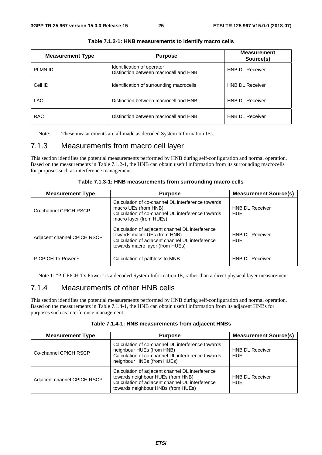| <b>Measurement Type</b> | <b>Purpose</b>                                                      | <b>Measurement</b><br>Source(s) |
|-------------------------|---------------------------------------------------------------------|---------------------------------|
| <b>PLMN ID</b>          | Identification of operator<br>Distinction between macrocell and HNB | <b>HNB DL Receiver</b>          |
| Cell ID                 | Identification of surrounding macrocells                            | <b>HNB DL Receiver</b>          |
| <b>LAC</b>              | Distinction between macrocell and HNB                               | <b>HNB DL Receiver</b>          |
| <b>RAC</b>              | Distinction between macrocell and HNB                               | <b>HNB DL Receiver</b>          |

|  |  | Table 7.1.2-1: HNB measurements to identify macro cells |
|--|--|---------------------------------------------------------|
|--|--|---------------------------------------------------------|

Note: These measurements are all made as decoded System Information IEs.

### 7.1.3 Measurements from macro cell layer

This section identifies the potential measurements performed by HNB during self-configuration and normal operation. Based on the measurements in Table 7.1.2-1, the HNB can obtain useful information from its surrounding macrocells for purposes such as interference management.

|  | Table 7.1.3-1: HNB measurements from surrounding macro cells |  |  |
|--|--------------------------------------------------------------|--|--|
|--|--------------------------------------------------------------|--|--|

| <b>Measurement Type</b>       | <b>Purpose</b>                                                                                                                                                        | <b>Measurement Source(s)</b>         |
|-------------------------------|-----------------------------------------------------------------------------------------------------------------------------------------------------------------------|--------------------------------------|
| Co-channel CPICH RSCP         | Calculation of co-channel DL interference towards<br>macro UEs (from HNB)<br>Calculation of co-channel UL interference towards<br>macro layer (from HUEs)             | <b>HNB DL Receiver</b><br><b>HUE</b> |
| Adjacent channel CPICH RSCP   | Calculation of adjacent channel DL interference<br>towards macro UEs (from HNB)<br>Calculation of adjacent channel UL interference<br>towards macro layer (from HUEs) | <b>HNB DL Receiver</b><br><b>HUE</b> |
| P-CPICH Tx Power <sup>1</sup> | Calculation of pathloss to MNB                                                                                                                                        | <b>HNB DL Receiver</b>               |

Note 1: "P-CPICH Tx Power" is a decoded System Information IE, rather than a direct physical layer measurement

### 7.1.4 Measurements of other HNB cells

This section identifies the potential measurements performed by HNB during self-configuration and normal operation. Based on the measurements in Table 7.1.4-1, the HNB can obtain useful information from its adjacent HNBs for purposes such as interference management.

|  | Table 7.1.4-1: HNB measurements from adjacent HNBs |  |
|--|----------------------------------------------------|--|
|--|----------------------------------------------------|--|

| <b>Measurement Type</b>     | <b>Purpose</b>                                                                                                                                                                | <b>Measurement Source(s)</b>         |
|-----------------------------|-------------------------------------------------------------------------------------------------------------------------------------------------------------------------------|--------------------------------------|
| Co-channel CPICH RSCP       | Calculation of co-channel DL interference towards<br>neighbour HUEs (from HNB)<br>Calculation of co-channel UL interference towards<br>neighbour HNBs (from HUEs)             | <b>HNB DL Receiver</b><br>HUE        |
| Adjacent channel CPICH RSCP | Calculation of adjacent channel DL interference<br>towards neighbour HUEs (from HNB)<br>Calculation of adjacent channel UL interference<br>towards neighbour HNBs (from HUEs) | <b>HNB DL Receiver</b><br><b>HUE</b> |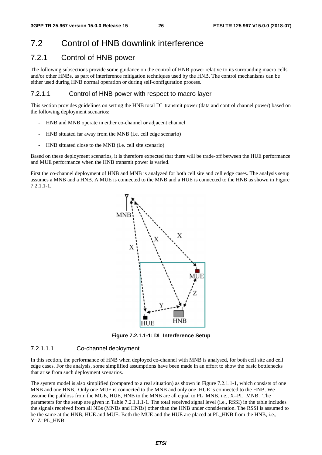# 7.2 Control of HNB downlink interference

### 7.2.1 Control of HNB power

The following subsections provide some guidance on the control of HNB power relative to its surrounding macro cells and/or other HNBs, as part of interference mitigation techniques used by the HNB. The control mechanisms can be either used during HNB normal operation or during self-configuration process.

#### 7.2.1.1 Control of HNB power with respect to macro layer

This section provides guidelines on setting the HNB total DL transmit power (data and control channel power) based on the following deployment scenarios:

- HNB and MNB operate in either co-channel or adjacent channel
- HNB situated far away from the MNB (i.e. cell edge scenario)
- HNB situated close to the MNB (i.e. cell site scenario)

Based on these deployment scenarios, it is therefore expected that there will be trade-off between the HUE performance and MUE performance when the HNB transmit power is varied.

First the co-channel deployment of HNB and MNB is analyzed for both cell site and cell edge cases. The analysis setup assumes a MNB and a HNB. A MUE is connected to the MNB and a HUE is connected to the HNB as shown in Figure 7.2.1.1-1.



**Figure 7.2.1.1-1: DL Interference Setup** 

#### 7.2.1.1.1 Co-channel deployment

In this section, the performance of HNB when deployed co-channel with MNB is analysed, for both cell site and cell edge cases. For the analysis, some simplified assumptions have been made in an effort to show the basic bottlenecks that arise from such deployment scenarios.

The system model is also simplified (compared to a real situation) as shown in Figure 7.2.1.1-1, which consists of one MNB and one HNB. Only one MUE is connected to the MNB and only one HUE is connected to the HNB. We assume the pathloss from the MUE, HUE, HNB to the MNB are all equal to PL\_MNB, i.e., X=PL\_MNB. The parameters for the setup are given in Table 7.2.1.1.1-1. The total received signal level (i.e., RSSI) in the table includes the signals received from all NBs (MNBs and HNBs) other than the HNB under consideration. The RSSI is assumed to be the same at the HNB, HUE and MUE. Both the MUE and the HUE are placed at PL\_HNB from the HNB, i.e., Y=Z=PL\_HNB.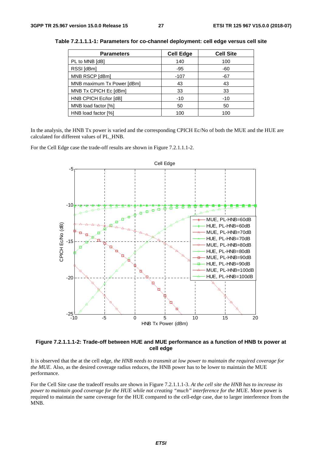| <b>Parameters</b>          | <b>Cell Edge</b> | <b>Cell Site</b> |
|----------------------------|------------------|------------------|
| PL to MNB [dB]             | 140              | 100              |
| RSSI [dBm]                 | $-95$            | -60              |
| MNB RSCP [dBm]             | $-107$           | $-67$            |
| MNB maximum Tx Power [dBm] | 43               | 43               |
| MNB Tx CPICH Ec [dBm]      | 33               | 33               |
| HNB CPICH Ec/lor [dB]      | $-10$            | $-10$            |
| MNB load factor [%]        | 50               | 50               |
| HNB load factor [%]        | 100              | 100              |

**Table 7.2.1.1.1-1: Parameters for co-channel deployment: cell edge versus cell site** 

In the analysis, the HNB Tx power is varied and the corresponding CPICH Ec/No of both the MUE and the HUE are calculated for different values of PL\_HNB.

For the Cell Edge case the trade-off results are shown in Figure 7.2.1.1.1-2.



**Figure 7.2.1.1.1-2: Trade-off between HUE and MUE performance as a function of HNB tx power at cell edge** 

It is observed that the at the cell edge*, the HNB needs to transmit at low power to maintain the required coverage for the MUE*. Also, as the desired coverage radius reduces, the HNB power has to be lower to maintain the MUE performance.

For the Cell Site case the tradeoff results are shown in Figure 7.2.1.1.1-3. *At the cell site the HNB has to increase its power to maintain good coverage for the HUE while not creating "much" interference for the MUE*. More power is required to maintain the same coverage for the HUE compared to the cell-edge case, due to larger interference from the MNB.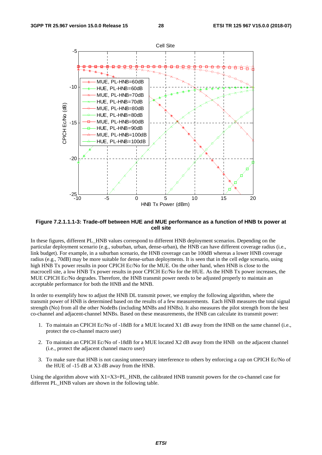

**Figure 7.2.1.1.1-3: Trade-off between HUE and MUE performance as a function of HNB tx power at cell site** 

In these figures, different PL\_HNB values correspond to different HNB deployment scenarios. Depending on the particular deployment scenario (e.g., suburban, urban, dense-urban), the HNB can have different coverage radius (i.e., link budget). For example, in a suburban scenario, the HNB coverage can be 100dB whereas a lower HNB coverage radius (e.g., 70dB) may be more suitable for dense-urban deployments. It is seen that in the cell edge scenario, using high HNB Tx power results in poor CPICH Ec/No for the MUE. On the other hand, when HNB is close to the macrocell site, a low HNB Tx power results in poor CPICH Ec/No for the HUE. As the HNB Tx power increases, the MUE CPICH Ec/No degrades. Therefore, the HNB transmit power needs to be adjusted properly to maintain an acceptable performance for both the HNB and the MNB.

In order to exemplify how to adjust the HNB DL transmit power, we employ the following algorithm, where the transmit power of HNB is determined based on the results of a few measurements. Each HNB measures the total signal strength (No) from all the other NodeBs (including MNBs and HNBs). It also measures the pilot strength from the best co-channel and adjacent-channel MNBs. Based on these measurements, the HNB can calculate its transmit power:

- 1. To maintain an CPICH Ec/No of -18dB for a MUE located X1 dB away from the HNB on the same channel (i.e., protect the co-channel macro user)
- 2. To maintain an CPICH Ec/No of -18dB for a MUE located X2 dB away from the HNB on the adjacent channel (i.e., protect the adjacent channel macro user)
- 3. To make sure that HNB is not causing unnecessary interference to others by enforcing a cap on CPICH Ec/No of the HUE of -15 dB at X3 dB away from the HNB.

Using the algorithm above with  $X1=X3=PL$  HNB, the calibrated HNB transmit powers for the co-channel case for different PL\_HNB values are shown in the following table.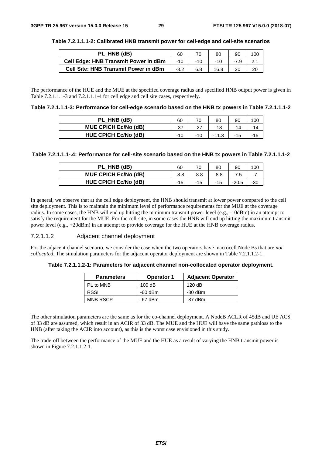| PL HNB (dB)                                 | 60     |     | 80   | 90 |    |
|---------------------------------------------|--------|-----|------|----|----|
| <b>Cell Edge: HNB Transmit Power in dBm</b> | -10    |     |      |    |    |
| <b>Cell Site: HNB Transmit Power in dBm</b> | $-3.2$ | 6.8 | 16.8 |    | 20 |

#### **Table 7.2.1.1.1-2: Calibrated HNB transmit power for cell-edge and cell-site scenarios**

The performance of the HUE and the MUE at the specified coverage radius and specified HNB output power is given in Table 7.2.1.1.1-3 and 7.2.1.1.1-4 for cell edge and cell site cases, respectively.

| PL_HNB (dB)                 | 60  |       | 80 | 90 | <b>OC</b> |
|-----------------------------|-----|-------|----|----|-----------|
| <b>MUE CPICH Ec/No (dB)</b> | -37 | $-27$ |    | 14 |           |
| <b>HUE CPICH Ec/No (dB)</b> | 10  |       |    |    |           |

#### **Table 7.2.1.1.1-.4: Performance for cell-site scenario based on the HNB tx powers in Table 7.2.1.1.1-2**

| PL HNB (dB)                 | 60   |        | 80   | 90 |  |
|-----------------------------|------|--------|------|----|--|
| <b>MUE CPICH Ec/No (dB)</b> | -8.8 | $-8.8$ | -8.8 |    |  |
| HUE CPICH Ec/No (dB)        | -15  |        | - 1  |    |  |

In general, we observe that at the cell edge deployment, the HNB should transmit at lower power compared to the cell site deployment. This is to maintain the minimum level of performance requirements for the MUE at the coverage radius. In some cases, the HNB will end up hitting the minimum transmit power level (e.g., -10dBm) in an attempt to satisfy the requirement for the MUE. For the cell-site, in some cases the HNB will end up hitting the maximum transmit power level (e.g., +20dBm) in an attempt to provide coverage for the HUE at the HNB coverage radius.

#### 7.2.1.1.2 Adjacent channel deployment

For the adjacent channel scenario, we consider the case when the two operators have macrocell Node Bs that are *not collocated*. The simulation parameters for the adjacent operator deployment are shown in Table 7.2.1.1.2-1.

#### **Table 7.2.1.1.2-1: Parameters for adjacent channel non-collocated operator deployment.**

| <b>Parameters</b> | <b>Operator 1</b> | <b>Adjacent Operator</b> |
|-------------------|-------------------|--------------------------|
| PL to MNB         | 100dB             | 120dB                    |
| RSSI              | $-60$ dBm         | $-80$ dBm                |
| <b>MNB RSCP</b>   | $-67$ dBm         | $-87$ dBm                |

The other simulation parameters are the same as for the co-channel deployment. A NodeB ACLR of 45dB and UE ACS of 33 dB are assumed, which result in an ACIR of 33 dB. The MUE and the HUE will have the same pathloss to the HNB (after taking the ACIR into account), as this is the worst case envisioned in this study.

The trade-off between the performance of the MUE and the HUE as a result of varying the HNB transmit power is shown in Figure 7.2.1.1.2-1.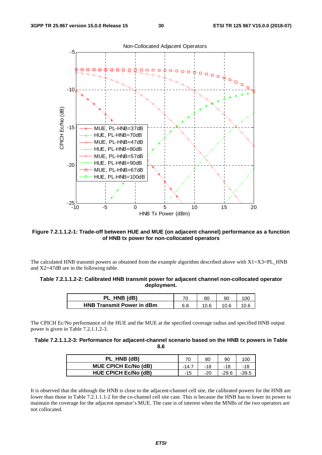

#### **Figure 7.2.1.1.2-1: Trade-off between HUE and MUE (on adjacent channel) performance as a function of HNB tx power for non-collocated operators**

The calculated HNB transmit powers as obtained from the example algorithm described above with  $X1=X3=PL$  HNB and X2=47dB are in the following table.

| Table 7.2.1.1.2-2: Calibrated HNB transmit power for adjacent channel non-collocated operator |
|-----------------------------------------------------------------------------------------------|
| deployment.                                                                                   |

| HNB (dB)                         | $\overline{\phantom{a}}$ | 80 | 90 |  |
|----------------------------------|--------------------------|----|----|--|
| <b>HNB Transmit Power in dBm</b> | 6.8                      |    |    |  |

The CPICH Ec/No performance of the HUE and the MUE at the specified coverage radius and specified HNB output power is given in Table 7.2.1.1.2-3.

#### **Table 7.2.1.1.2-3: Performance for adjacent-channel scenario based on the HNB tx powers in Table 8.6**

| PL HNB (dB)                 |     | 80  | 90      |  |
|-----------------------------|-----|-----|---------|--|
| <b>MUE CPICH Ec/No (dB)</b> |     | -18 |         |  |
| <b>HUE CPICH Ec/No (dB)</b> | -15 | -20 | $-29.6$ |  |

It is observed that the although the HNB is close to the adjacent-channel cell site, the calibrated powers for the HNB are lower than those in Table 7.2.1.1.1-2 for the co-channel cell site case. This is because the HNB has to lower its power to maintain the coverage for the adjacent operator's MUE. The case is of interest when the MNBs of the two operators are not collocated.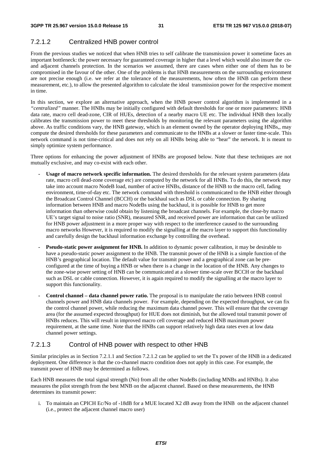### 7.2.1.2 Centralized HNB power control

From the previous studies we noticed that when HNB tries to self calibrate the transmission power it sometime faces an important bottleneck: the power necessary for guaranteed coverage in higher that a level which would also insure the coand adjacent channels protection. In the scenarios we assumed, there are cases when either one of them has to be compromised in the favour of the other. One of the problems is that HNB measurements on the surrounding environment are not precise enough (i.e. we refer at the tolerance of the measurements, how often the HNB can perform these measurement, etc.), to allow the presented algorithm to calculate the ideal transmission power for the respective moment in time.

In this section, we explore an alternative approach, when the HNB power control algorithm is implemented in a *"centralized"* manner. The HNBs may be initially configured with default thresholds for one or more parameters: HNB data rate, macro cell dead-zone, CIR of HUEs, detection of a nearby macro UE etc. The individual HNB then locally calibrates the transmission power to meet these thresholds by monitoring the relevant parameters using the algorithm above. As traffic conditions vary, the HNB gateway, which is an element owned by the operator deploying HNBs,, may compute the desired thresholds for these parameters and communicate to the HNBs at a slower or faster time-scale. This network command is not time-critical and does not rely on all HNBs being able to "hear" the network. It is meant to simply optimize system performance.

Three options for enhancing the power adjustment of HNBs are proposed below. Note that these techniques are not mutually exclusive, and may co-exist with each other.

- **Usage of macro network specific information.** The desired thresholds for the relevant system parameters (data rate, macro cell dead-zone coverage etc) are computed by the network for all HNBs. To do this, the network may take into account macro NodeB load, number of active HNBs, distance of the HNB to the macro cell, fading environment, time-of-day etc. The network command with threshold is communicated to the HNB either through the Broadcast Control Channel (BCCH) or the backhaul such as DSL or cable connection. By sharing information between HNB and macro NodeBs using the backhaul, it is possible for HNB to get more information than otherwise could obtain by listening the broadcast channels. For example, the close-by macro UE's target signal to noise ratio (SNR), measured SNR, and received power are information that can be utilized for HNB power adjustment in a more proper way with respect to the interference caused to the surrounding macro networks However, it is required to modify the signalling at the macro layer to support this functionality and carefully design the backhaul information exchange by controlling the overhead.
- **Pseudo-static power assignment for HNB.** In addition to dynamic power calibration, it may be desirable to have a pseudo-static power assignment to the HNB. The transmit power of the HNB is a simple function of the HNB's geographical location. The default value for transmit power and a geographical zone can be preconfigured at the time of buying a HNB or when there is a change in the location of the HNB. Any changes to the zone-wise power setting of HNB can be communicated at a slower time-scale over BCCH or the backhaul such as DSL or cable connection. However, it is again required to modify the signalling at the macro layer to support this functionality.
- **Control channel data channel power ratio.** The proposal is to manipulate the ratio between HNB control channels power and HNB data channels power. For example, depending on the expected throughput, we can fix the control channel power, while reducing the maximum data channel power. This will ensure that the coverage area (for the assumed expected throughput) for HUE does not diminish, but the allowed total transmit power of HNBs reduces. This will result in improved macro cell coverage and reduced HNB maximum power requirement, at the same time. Note that the HNBs can support relatively high data rates even at low data channel power settings.

#### 7.2.1.3 Control of HNB power with respect to other HNB

Similar principles as in Section 7.2.1.1 and Section 7.2.1.2 can be applied to set the Tx power of the HNB in a dedicated deployment. One difference is that the co-channel macro condition does not apply in this case. For example, the transmit power of HNB may be determined as follows.

Each HNB measures the total signal strength (No) from all the other NodeBs (including MNBs and HNBs). It also measures the pilot strength from the best MNB on the adjacent channel. Based on these measurements, the HNB determines its transmit power:

i. To maintain an CPICH Ec/No of -18dB for a MUE located X2 dB away from the HNB on the adjacent channel (i.e., protect the adjacent channel macro user)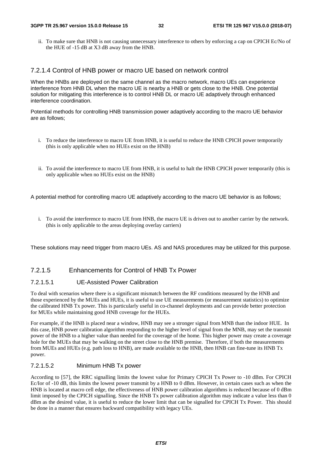ii. To make sure that HNB is not causing unnecessary interference to others by enforcing a cap on CPICH Ec/No of the HUE of -15 dB at X3 dB away from the HNB.

#### 7.2.1.4 Control of HNB power or macro UE based on network control

When the HNBs are deployed on the same channel as the macro network, macro UEs can experience interference from HNB DL when the macro UE is nearby a HNB or gets close to the HNB. One potential solution for mitigating this interference is to control HNB DL or macro UE adaptively through enhanced interference coordination.

Potential methods for controlling HNB transmission power adaptively according to the macro UE behavior are as follows;

- i. To reduce the interference to macro UE from HNB, it is useful to reduce the HNB CPICH power temporarily (this is only applicable when no HUEs exist on the HNB)
- ii. To avoid the interference to macro UE from HNB, it is useful to halt the HNB CPICH power temporarily (this is only applicable when no HUEs exist on the HNB)

A potential method for controlling macro UE adaptively according to the macro UE behavior is as follows;

i. To avoid the interference to macro UE from HNB, the macro UE is driven out to another carrier by the network. (this is only applicable to the areas deploying overlay carriers)

These solutions may need trigger from macro UEs. AS and NAS procedures may be utilized for this purpose.

#### 7.2.1.5 Enhancements for Control of HNB Tx Power

#### 7.2.1.5.1 UE-Assisted Power Calibration

To deal with scenarios where there is a significant mismatch between the RF conditions measured by the HNB and those experienced by the MUEs and HUEs, it is useful to use UE measurements (or measurement statistics) to optimize the calibrated HNB Tx power. This is particularly useful in co-channel deployments and can provide better protection for MUEs while maintaining good HNB coverage for the HUEs.

For example, if the HNB is placed near a window, HNB may see a stronger signal from MNB than the indoor HUE. In this case, HNB power calibration algorithm responding to the higher level of signal from the MNB, may set the transmit power of the HNB to a higher value than needed for the coverage of the home. This higher power may create a coverage hole for the MUEs that may be walking on the street close to the HNB premise. Therefore, if both the measurements from MUEs and HUEs (e.g. path loss to HNB), are made available to the HNB, then HNB can fine-tune its HNB Tx power.

#### 7.2.1.5.2 Minimum HNB Tx power

According to [57], the RRC signalling limits the lowest value for Primary CPICH Tx Power to -10 dBm. For CPICH Ec/Ior of -10 dB, this limits the lowest power transmit by a HNB to 0 dBm. However, in certain cases such as when the HNB is located at macro cell edge, the effectiveness of HNB power calibration algorithms is reduced because of 0 dBm limit imposed by the CPICH signalling. Since the HNB Tx power calibration algorithm may indicate a value less than 0 dBm as the desired value, it is useful to reduce the lower limit that can be signalled for CPICH Tx Power. This should be done in a manner that ensures backward compatibility with legacy UEs.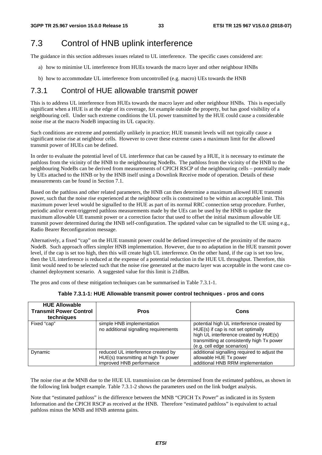# 7.3 Control of HNB uplink interference

The guidance in this section addresses issues related to UL interference. The specific cases considered are:

- a) how to minimise UL interference from HUEs towards the macro layer and other neighbour HNBs
- b) how to accommodate UL interference from uncontrolled (e.g. macro) UEs towards the HNB

### 7.3.1 Control of HUE allowable transmit power

This is to address UL interference from HUEs towards the macro layer and other neighbour HNBs. This is especially significant when a HUE is at the edge of its coverage, for example outside the property, but has good visibility of a neighbouring cell. Under such extreme conditions the UL power transmitted by the HUE could cause a considerable noise rise at the macro NodeB impacting its UL capacity.

Such conditions are extreme and potentially unlikely in practice; HUE transmit levels will not typically cause a significant noise rise at neighbour cells. However to cover these extreme cases a maximum limit for the allowed transmit power of HUEs can be defined.

In order to evaluate the potential level of UL interference that can be caused by a HUE, it is necessary to estimate the pathloss from the vicinity of the HNB to the neighbouring NodeBs. The pathloss from the vicinity of the HNB to the neighbouring NodeBs can be derived from measurements of CPICH RSCP of the neighbouring cells – potentially made by UEs attached to the HNB or by the HNB itself using a Downlink Receive mode of operation. Details of these measurements can be found in Section 7.1.

Based on the pathloss and other related parameters, the HNB can then determine a maximum allowed HUE transmit power, such that the noise rise experienced at the neighbour cells is constrained to be within an acceptable limit. This maximum power level would be signalled to the HUE as part of its normal RRC connection setup procedure. Further, periodic and/or event-triggered pathloss measurements made by the UEs can be used by the HNB to update the maximum allowable UE transmit power or a correction factor that used to offset the initial maximum allowable UE transmit power determined during the HNB self-configuration. The updated value can be signalled to the UE using e.g., Radio Bearer Reconfiguration message.

Alternatively, a fixed "cap" on the HUE transmit power could be defined irrespective of the proximity of the macro NodeB. Such approach offers simpler HNB implementation. However, due to no adaptation in the HUE transmit power level, if the cap is set too high, then this will create high UL interference. On the other hand, if the cap is set too low, then the UL interference is reduced at the expense of a potential reduction in the HUE UL throughput. Therefore, this limit would need to be selected such that the noise rise generated at the macro layer was acceptable in the worst case cochannel deployment scenario. A suggested value for this limit is 21dBm.

The pros and cons of these mitigation techniques can be summarised in Table 7.3.1-1.

| Table 7.3.1-1: HUE Allowable transmit power control techniques - pros and cons |
|--------------------------------------------------------------------------------|
|--------------------------------------------------------------------------------|

| <b>HUE Allowable</b><br><b>Transmit Power Control</b><br>techniques | <b>Pros</b>                                                                                            | Cons                                                                                                                                                                                                  |
|---------------------------------------------------------------------|--------------------------------------------------------------------------------------------------------|-------------------------------------------------------------------------------------------------------------------------------------------------------------------------------------------------------|
| Fixed "cap"                                                         | simple HNB implementation<br>no additional signalling requirements                                     | potential high UL interference created by<br>HUE(s) if cap is not set optimally<br>high UL interference created by HUE(s)<br>transmitting at consistently high Tx power<br>(e.g. cell edge scenarios) |
| Dynamic                                                             | reduced UL interference created by<br>HUE(s) transmitting at high Tx power<br>improved HNB performance | additional signalling required to adjust the<br>allowable HUE Tx power<br>additional HNB RRM implementation                                                                                           |

The noise rise at the MNB due to the HUE UL transmission can be determined from the estimated pathloss, as shown in the following link budget example. Table 7.3.1-2 shows the parameters used on the link budget analysis.

Note that "estimated pathloss" is the difference between the MNB "CPICH Tx Power" as indicated in its System Information and the CPICH RSCP as received at the HNB. Therefore "estimated pathloss" is equivalent to actual pathloss minus the MNB and HNB antenna gains.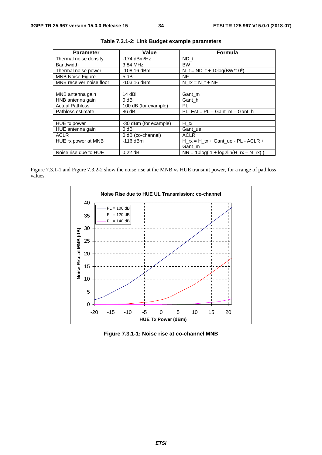| <b>Parameter</b>         | Value                 | <b>Formula</b>                             |
|--------------------------|-----------------------|--------------------------------------------|
| Thermal noise density    | $-174$ dBm/Hz         | ND t                                       |
| <b>Bandwidth</b>         | 3.84 MHz              | <b>BW</b>                                  |
| Thermal noise power      | $-108.16$ dBm         | $N_t = ND_t + 10log(BW^*10^6)$             |
| <b>MNB Noise Figure</b>  | 5 dB                  | <b>NF</b>                                  |
| MNB receiver noise floor | $-103.16$ dBm         | N $rx = N t + NF$                          |
|                          |                       |                                            |
| MNB antenna gain         | 14 dBi                | Gant_m                                     |
| HNB antenna gain         | 0 dBi                 | Gant h                                     |
| <b>Actual Pathloss</b>   | 100 dB (for example)  | PL                                         |
| Pathloss estimate        | 86 dB                 | $PL\_Est = PL - Gant_m - Gant_h$           |
|                          |                       |                                            |
| HUE tx power             | -30 dBm (for example) | H tx                                       |
| HUE antenna gain         | 0 dBi                 | Gant_ue                                    |
| <b>ACLR</b>              | 0 dB (co-channel)     | <b>ACLR</b>                                |
| HUE rx power at MNB      | -116 dBm              | H $rx = H$ $tx + G$ ant $ue - PL - ACLR +$ |
|                          |                       | Gant_m                                     |
| Noise rise due to HUE    | $0.22$ dB             | $NR = 10log(1 + log2lin(H_r x - N_r x))$   |

**Table 7.3.1-2: Link Budget example parameters** 

Figure 7.3.1-1 and Figure 7.3.2-2 show the noise rise at the MNB vs HUE transmit power, for a range of pathloss values.



**Figure 7.3.1-1: Noise rise at co-channel MNB**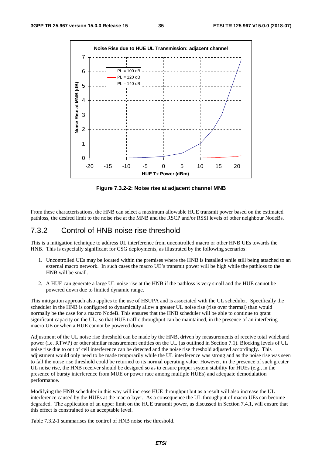

**Figure 7.3.2-2: Noise rise at adjacent channel MNB** 

From these characterisations, the HNB can select a maximum allowable HUE transmit power based on the estimated pathloss, the desired limit to the noise rise at the MNB and the RSCP and/or RSSI levels of other neighbour NodeBs.

### 7.3.2 Control of HNB noise rise threshold

This is a mitigation technique to address UL interference from uncontrolled macro or other HNB UEs towards the HNB. This is especially significant for CSG deployments, as illustrated by the following scenarios:

- 1. Uncontrolled UEs may be located within the premises where the HNB is installed while still being attached to an external macro network. In such cases the macro UE's transmit power will be high while the pathloss to the HNB will be small.
- 2. A HUE can generate a large UL noise rise at the HNB if the pathloss is very small and the HUE cannot be powered down due to limited dynamic range.

This mitigation approach also applies to the use of HSUPA and is associated with the UL scheduler. Specifically the scheduler in the HNB is configured to dynamically allow a greater UL noise rise (rise over thermal) than would normally be the case for a macro NodeB. This ensures that the HNB scheduler will be able to continue to grant significant capacity on the UL, so that HUE traffic throughput can be maintained, in the presence of an interfering macro UE or when a HUE cannot be powered down.

Adjustment of the UL noise rise threshold can be made by the HNB, driven by measurements of receive total wideband power (i.e. RTWP) or other similar measurement entities on the UL (as outlined in Section 7.1). Blocking levels of UL noise rise due to out of cell interference can be detected and the noise rise threshold adjusted accordingly. This adjustment would only need to be made temporarily while the UL interference was strong and as the noise rise was seen to fall the noise rise threshold could be returned to its normal operating value. However, in the presence of such greater UL noise rise, the HNB receiver should be designed so as to ensure proper system stability for HUEs (e.g., in the presence of bursty interference from MUE or power race among multiple HUEs) and adequate demodulation performance.

Modifying the HNB scheduler in this way will increase HUE throughput but as a result will also increase the UL interference caused by the HUEs at the macro layer. As a consequence the UL throughput of macro UEs can become degraded. The application of an upper limit on the HUE transmit power, as discussed in Section 7.4.1, will ensure that this effect is constrained to an acceptable level.

Table 7.3.2-1 summarises the control of HNB noise rise threshold.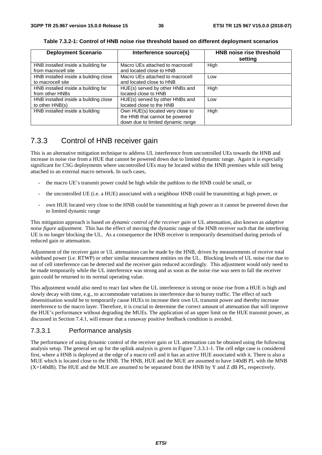| <b>Deployment Scenario</b>                                 | Interference source(s)                                                                                  | <b>HNB noise rise threshold</b><br>setting |
|------------------------------------------------------------|---------------------------------------------------------------------------------------------------------|--------------------------------------------|
| HNB installed inside a building far<br>from macrocell site | Macro UEs attached to macrocell<br>and located close to HNB                                             | High                                       |
| HNB installed inside a building close<br>to macrocell site | Macro UEs attached to macrocell<br>and located close to HNB                                             | Low                                        |
| HNB installed inside a building far<br>from other HNBs     | HUE(s) served by other HNBs and<br>located close to HNB                                                 | High                                       |
| HNB installed inside a building close<br>to other HNB(s)   | HUE(s) served by other HNBs and<br>located close to the HNB                                             | Low                                        |
| HNB installed inside a building                            | Own HUE(s) located very close to<br>the HNB that cannot be powered<br>down due to limited dynamic range | High                                       |

**Table 7.3.2-1: Control of HNB noise rise threshold based on different deployment scenarios** 

### 7.3.3 Control of HNB receiver gain

This is an alternative mitigation technique to address UL interference from uncontrolled UEs towards the HNB and increase in noise rise from a HUE that cannot be powered down due to limited dynamic range. Again it is especially significant for CSG deployments where uncontrolled UEs may be located within the HNB premises while still being attached to an external macro network. In such cases,

- the macro UE's transmit power could be high while the pathloss to the HNB could be small, or
- the uncontrolled UE (i.e. a HUE) associated with a neighbour HNB could be transmitting at high power, or
- own HUE located very close to the HNB could be transmitting at high power as it cannot be powered down due to limited dynamic range

This mitigation approach is based *on dynamic control of the receiver gain* or UL attenuation, also known as *adaptive noise figure adjustment*. This has the effect of moving the dynamic range of the HNB receiver such that the interfering UE is no longer blocking the UL. As a consequence the HNB receiver is temporarily desensitised during periods of reduced gain or attenuation.

Adjustment of the receiver gain or UL attenuation can be made by the HNB, driven by measurements of receive total wideband power (i.e. RTWP) or other similar measurement entities on the UL. Blocking levels of UL noise rise due to out of cell interference can be detected and the receiver gain reduced accordingly. This adjustment would only need to be made temporarily while the UL interference was strong and as soon as the noise rise was seen to fall the receiver gain could be returned to its normal operating value.

This adjustment would also need to react fast when the UL interference is strong or noise rise from a HUE is high and slowly decay with time, e.g., to accommodate variations in interference due to bursty traffic. The effect of such desensitisation would be to temporarily cause HUEs to increase their own UL transmit power and thereby increase interference to the macro layer. Therefore, it is crucial to determine the correct amount of attenuation that will improve the HUE's performance without degrading the MUEs. The application of an upper limit on the HUE transmit power, as discussed in Section 7.4.1, will ensure that a runaway positive feedback condition is avoided.

#### 7.3.3.1 Performance analysis

The performance of using dynamic control of the receiver gain or UL attenuation can be obtained using the following analysis setup. The general set up for the uplink analysis is given in Figure 7.3.3.1-1. The cell edge case is considered first, where a HNB is deployed at the edge of a macro cell and it has an active HUE associated with it. There is also a MUE which is located close to the HNB. The HNB, HUE and the MUE are assumed to have 140dB PL with the MNB (X=140dB). The HUE and the MUE are assumed to be separated from the HNB by Y and Z dB PL, respectively.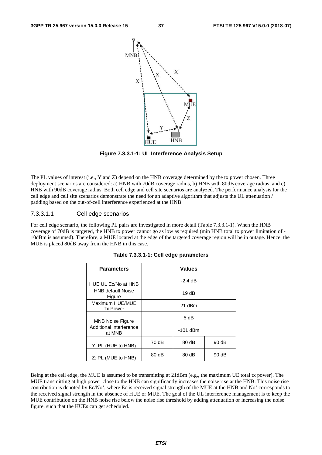

**Figure 7.3.3.1-1: UL Interference Analysis Setup** 

The PL values of interest (i.e., Y and Z) depend on the HNB coverage determined by the tx power chosen. Three deployment scenarios are considered: a) HNB with 70dB coverage radius, b) HNB with 80dB coverage radius, and c) HNB with 90dB coverage radius. Both cell edge and cell site scenarios are analyzed. The performance analysis for the cell edge and cell site scenarios demonstrate the need for an adaptive algorithm that adjusts the UL attenuation / padding based on the out-of-cell interference experienced at the HNB.

#### 7.3.3.1.1 Cell edge scenarios

For cell edge scenario, the following PL pairs are investigated in more detail (Table 7.3.3.1-1). When the HNB coverage of 70dB is targeted, the HNB tx power cannot go as low as required (min HNB total tx power limitation of - 10dBm is assumed). Therefore, a MUE located at the edge of the targeted coverage region will be in outage. Hence, the MUE is placed 80dB away from the HNB in this case.

| <b>Parameters</b>                  | <b>Values</b> |           |       |
|------------------------------------|---------------|-----------|-------|
| HUE UL Ec/No at HNB                |               | $-2.4$ dB |       |
| <b>HNB default Noise</b><br>Figure | 19dB          |           |       |
| Maximum HUE/MUE<br><b>Tx Power</b> | 21 dBm        |           |       |
| <b>MNB Noise Figure</b>            | 5 dB          |           |       |
| Additional interference<br>at MNB  | -101 dBm      |           |       |
| Y: PL (HUE to HNB)                 | 70 dB         | 80dB      | 90dB  |
| Z: PL (MUE to HNB)                 | 80 dB         | 80 dB     | 90 dB |

|  |  |  |  |  | Table 7.3.3.1-1: Cell edge parameters |
|--|--|--|--|--|---------------------------------------|
|--|--|--|--|--|---------------------------------------|

Being at the cell edge, the MUE is assumed to be transmitting at 21dBm (e.g., the maximum UE total tx power). The MUE transmitting at high power close to the HNB can significantly increases the noise rise at the HNB. This noise rise contribution is denoted by Ec/No', where Ec is received signal strength of the MUE at the HNB and No' corresponds to the received signal strength in the absence of HUE or MUE. The goal of the UL interference management is to keep the MUE contribution on the HNB noise rise below the noise rise threshold by adding attenuation or increasing the noise figure, such that the HUEs can get scheduled.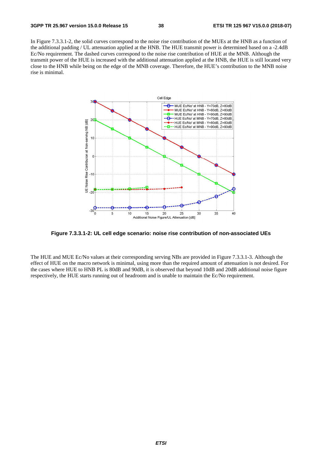In Figure 7.3.3.1-2, the solid curves correspond to the noise rise contribution of the MUEs at the HNB as a function of the additional padding / UL attenuation applied at the HNB. The HUE transmit power is determined based on a -2.4dB Ec/No requirement. The dashed curves correspond to the noise rise contribution of HUE at the MNB. Although the transmit power of the HUE is increased with the additional attenuation applied at the HNB, the HUE is still located very close to the HNB while being on the edge of the MNB coverage. Therefore, the HUE's contribution to the MNB noise rise is minimal.



**Figure 7.3.3.1-2: UL cell edge scenario: noise rise contribution of non-associated UEs** 

The HUE and MUE Ec/No values at their corresponding serving NBs are provided in Figure 7.3.3.1-3. Although the effect of HUE on the macro network is minimal, using more than the required amount of attenuation is not desired. For the cases where HUE to HNB PL is 80dB and 90dB, it is observed that beyond 10dB and 20dB additional noise figure respectively, the HUE starts running out of headroom and is unable to maintain the Ec/No requirement.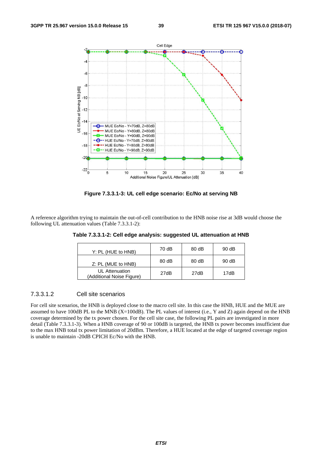

**Figure 7.3.3.1-3: UL cell edge scenario: Ec/No at serving NB** 

A reference algorithm trying to maintain the out-of-cell contribution to the HNB noise rise at 3dB would choose the following UL attenuation values (Table 7.3.3.1-2):

| Y: PL (HUE to HNB)                          | 70 dB | 80 dB | 90 dB |
|---------------------------------------------|-------|-------|-------|
| Z: PL (MUE to HNB)                          | 80dB  | 80 dB | 90 dB |
| UL Attenuation<br>(Additional Noise Figure) | 27dB  | 27dB  | 17dB  |

**Table 7.3.3.1-2: Cell edge analysis: suggested UL attenuation at HNB** 

#### 7.3.3.1.2 Cell site scenarios

For cell site scenarios, the HNB is deployed close to the macro cell site. In this case the HNB, HUE and the MUE are assumed to have 100dB PL to the MNB (X=100dB). The PL values of interest (i.e., Y and Z) again depend on the HNB coverage determined by the tx power chosen. For the cell site case, the following PL pairs are investigated in more detail (Table 7.3.3.1-3). When a HNB coverage of 90 or 100dB is targeted, the HNB tx power becomes insufficient due to the max HNB total tx power limitation of 20dBm. Therefore, a HUE located at the edge of targeted coverage region is unable to maintain -20dB CPICH Ec/No with the HNB.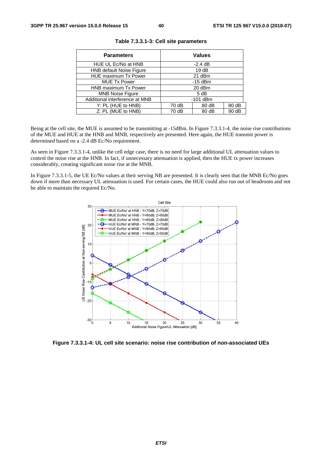| <b>Parameters</b>              |                | <b>Values</b> |       |
|--------------------------------|----------------|---------------|-------|
| HUE UL Ec/No at HNB            |                | $-2.4$ dB     |       |
| HNB default Noise Figure       |                | 19dB          |       |
| <b>HUE</b> maximum Tx Power    | 21 dBm         |               |       |
| <b>MUE Tx Power</b>            | $-15$ dBm      |               |       |
| HNB maximum Tx Power           | 20 dBm         |               |       |
| <b>MNB Noise Figure</b>        | 5 dB           |               |       |
| Additional interference at MNB | $-101$ dBm     |               |       |
| Y: PL (HUE to HNB)             | 70 dB<br>80 dB |               | 80 dB |
| Z: PL (MUE to HNB)             | 70 dB          | 80 dB         | 90 dB |

|  |  |  |  |  | Table 7.3.3.1-3: Cell site parameters |
|--|--|--|--|--|---------------------------------------|
|--|--|--|--|--|---------------------------------------|

Being at the cell site, the MUE is assumed to be transmitting at -15dBm. In Figure 7.3.3.1-4, the noise rise contributions of the MUE and HUE at the HNB and MNB, respectively are presented. Here again, the HUE transmit power is determined based on a -2.4 dB Ec/No requirement.

As seen in Figure 7.3.3.1-4, unlike the cell edge case, there is no need for large additional UL attenuation values to control the noise rise at the HNB. In fact, if unnecessary attenuation is applied, then the HUE tx power increases considerably, creating significant noise rise at the MNB.

In Figure 7.3.3.1-5, the UE Ec/No values at their serving NB are presented. It is clearly seen that the MNB Ec/No goes down if more than necessary UL attenuation is used. For certain cases, the HUE could also run out of headroom and not be able to maintain the required Ec/No.



**Figure 7.3.3.1-4: UL cell site scenario: noise rise contribution of non-associated UEs**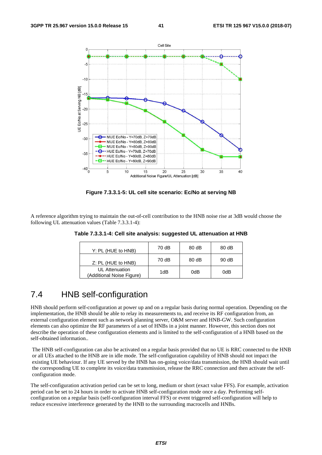

**Figure 7.3.3.1-5: UL cell site scenario: Ec/No at serving NB** 

A reference algorithm trying to maintain the out-of-cell contribution to the HNB noise rise at 3dB would choose the following UL attenuation values (Table 7.3.3.1-4):

| Y: PL (HUE to HNB)                          | 70 dB | 80 dB | 80 dB |
|---------------------------------------------|-------|-------|-------|
| Z: PL (HUE to HNB)                          | 70 dB | 80 dB | 90 dB |
| UL Attenuation<br>(Additional Noise Figure) | 1dB   | 0dB   | 0dB   |

**Table 7.3.3.1-4: Cell site analysis: suggested UL attenuation at HNB** 

### 7.4 HNB self-configuration

HNB should perform self-configuration at power up and on a regular basis during normal operation. Depending on the implementation, the HNB should be able to relay its measurements to, and receive its RF configuration from, an external configuration element such as network planning server, O&M server and HNB-GW. Such configuration elements can also optimize the RF parameters of a set of HNBs in a joint manner. However, this section does not describe the operation of these configuration elements and is limited to the self-configuration of a HNB based on the self-obtained information..

The HNB self-configuration can also be activated on a regular basis provided that no UE is RRC connected to the HNB or all UEs attached to the HNB are in idle mode. The self-configuration capability of HNB should not impact the existing UE behaviour. If any UE served by the HNB has on-going voice/data transmission, the HNB should wait until the corresponding UE to complete its voice/data transmission, release the RRC connection and then activate the selfconfiguration mode.

The self-configuration activation period can be set to long, medium or short (exact value FFS). For example, activation period can be set to 24 hours in order to activate HNB self-configuration mode once a day. Performing selfconfiguration on a regular basis (self-configuration interval FFS) or event triggered self-configuration will help to reduce excessive interference generated by the HNB to the surrounding macrocells and HNBs.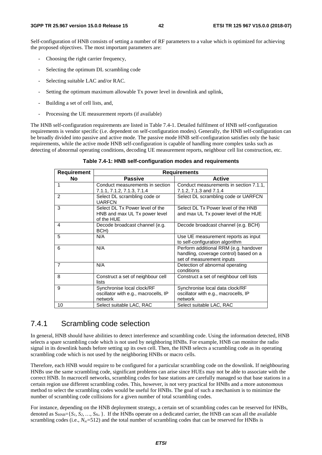Self-configuration of HNB consists of setting a number of RF parameters to a value which is optimized for achieving the proposed objectives. The most important parameters are:

- Choosing the right carrier frequency,
- Selecting the optimum DL scrambling code
- Selecting suitable LAC and/or RAC.
- Setting the optimum maximum allowable Tx power level in downlink and uplink,
- Building a set of cell lists, and,
- Processing the UE measurement reports (if available)

The HNB self-configuration requirements are listed in Table 7.4-1. Detailed fulfilment of HNB self-configuration requirements is vendor specific (i.e. dependent on self-configuration modes). Generally, the HNB self-configuration can be broadly divided into passive and active mode. The passive mode HNB self-configuration satisfies only the basic requirements, while the active mode HNB self-configuration is capable of handling more complex tasks such as detecting of abnormal operating conditions, decoding UE measurement reports, neighbour cell list construction, etc.

#### **Table 7.4-1: HNB self-configuration modes and requirements**

| <b>Requirement</b> | <b>Requirements</b>                                                            |                                                                                                              |  |  |  |
|--------------------|--------------------------------------------------------------------------------|--------------------------------------------------------------------------------------------------------------|--|--|--|
| <b>No</b>          | <b>Passive</b>                                                                 | <b>Active</b>                                                                                                |  |  |  |
| 1                  | Conduct measurements in section<br>7.1.1, 7.1.2, 7.1.3, 7.1.4                  | Conduct measurements in section 7.1.1,<br>7.1.2, 7.1.3 and 7.1.4                                             |  |  |  |
| $\overline{2}$     | Select DL scrambling code or<br><b>UARFCN</b>                                  | Select DL scrambling code or UARFCN                                                                          |  |  |  |
| 3                  | Select DL Tx Power level of the<br>HNB and max UL Tx power level<br>of the HUE | Select DL Tx Power level of the HNB<br>and max UL Tx power level of the HUE                                  |  |  |  |
| 4                  | Decode broadcast channel (e.g.<br>BCH)                                         | Decode broadcast channel (e.g. BCH)                                                                          |  |  |  |
| 5                  | N/A                                                                            | Use UE measurement reports as input<br>to self-configuration algorithm                                       |  |  |  |
| 6                  | N/A                                                                            | Perform additional RRM (e.g. handover<br>handling, coverage control) based on a<br>set of measurement inputs |  |  |  |
| $\overline{7}$     | N/A                                                                            | Detection of abnormal operating<br>conditions                                                                |  |  |  |
| 8                  | Construct a set of neighbour cell<br>lists                                     | Construct a set of neighbour cell lists                                                                      |  |  |  |
| 9                  | Synchronise local clock/RF<br>oscillator with e.g., macrocells, IP<br>network  | Synchronise local data clock/RF<br>oscillator with e.g., macrocells, IP<br>network                           |  |  |  |
| 10                 | Select suitable LAC, RAC                                                       | Select suitable LAC, RAC                                                                                     |  |  |  |

### 7.4.1 Scrambling code selection

In general, HNB should have abilities to detect interference and scrambling code. Using the information detected, HNB selects a spare scrambling code which is not used by neighboring HNBs. For example, HNB can monitor the radio signal in its downlink bands before setting up its own cell. Then, the HNB selects a scrambling code as its operating scrambling code which is not used by the neighboring HNBs or macro cells.

Therefore, each HNB would require to be configured for a particular scrambling code on the downlink. If neighbouring HNBs use the same scrambling code, significant problems can arise since HUEs may not be able to associate with the correct HNB. In macrocell networks, scrambling codes for base stations are carefully managed so that base stations in a certain region use different scrambling codes. This, however, is not very practical for HNBs and a more autonomous method to select the scrambling codes would be useful for HNBs. The goal of such a mechanism is to minimize the number of scrambling code collisions for a given number of total scrambling codes.

For instance, depending on the HNB deployment strategy, a certain set of scrambling codes can be reserved for HNBs, denoted as  $S_{HNB} = \{S_1, S_2, ..., S_{Ns}\}\$ . If the HNBs operate on a dedicated carrier, the HNB can scan all the available scrambling codes (i.e.,  $N_{\rm g}$ =512) and the total number of scrambling codes that can be reserved for HNBs is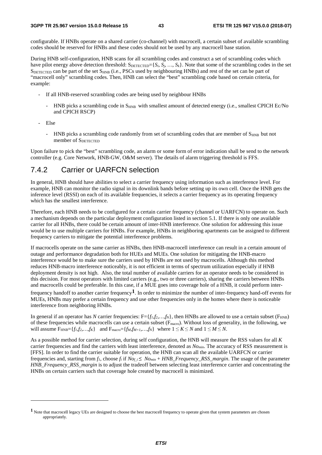configurable. If HNBs operate on a shared carrier (co-channel) with macrocell, a certain subset of available scrambling codes should be reserved for HNBs and these codes should not be used by any macrocell base station.

During HNB self-configuration, HNB scans for all scrambling codes and construct a set of scrambling codes which have pilot energy above detection threshold:  $S_{\text{DETECTED}} = \{S_i, S_j, ..., S_k\}$ . Note that some of the scrambling codes in the set SDETECTED can be part of the set S<sub>HNB</sub> (i.e., PSCs used by neighbouring HNBs) and rest of the set can be part of "macrocell only" scrambling codes. Then, HNB can select the "best" scrambling code based on certain criteria, for example:

- If all HNB-reserved scrambling codes are being used by neighbour HNBs
	- HNB picks a scrambling code in S<sub>HNB</sub> with smallest amount of detected energy (i.e., smallest CPICH Ec/No and CPICH RSCP)
- Else

-

- HNB picks a scrambling code randomly from set of scrambling codes that are member of  $S_{HNR}$  but not member of SDETECTED

Upon failure to pick the "best" scrambling code, an alarm or some form of error indication shall be send to the network controller (e.g. Core Network, HNB-GW, O&M server). The details of alarm triggering threshold is FFS.

### 7.4.2 Carrier or UARFCN selection

In general, HNB should have abilities to select a carrier frequency using information such as interference level. For example, HNB can monitor the radio signal in its downlink bands before setting up its own cell. Once the HNB gets the inference level (RSSI) on each of its available frequencies, it selects a carrier frequency as its operating frequency which has the smallest interference.

Therefore, each HNB needs to be configured for a certain carrier frequency (channel or UARFCN) to operate on. Such a mechanism depends on the particular deployment configuration listed in section 5.1. If there is only one available carrier for all HNBs, there could be certain amount of inter-HNB interference. One solution for addressing this issue would be to use multiple carriers for HNBs. For example, HNBs in neighboring apartments can be assigned to different frequency carriers to mitigate the potential interference problems.

If macrocells operate on the same carrier as HNBs, then HNB-macrocell interference can result in a certain amount of outage and performance degradation both for HUEs and MUEs. One solution for mitigating the HNB-macro interference would be to make sure the carriers used by HNBs are not used by macrocells. Although this method reduces HNB-macro interference noticeably, it is not efficient in terms of spectrum utilization especially if HNB deployment density is not high. Also, the total number of available carriers for an operator needs to be considered in this decision. For most operators with limited carriers (e.g., two or three carriers), sharing the carriers between HNBs and macrocells could be preferable. In this case, if a MUE goes into coverage hole of a HNB, it could perform inter-

frequency handoff to another carrier frequency**1**. In order to minimize the number of inter-frequency hand-off events for MUEs, HNBs may prefer a certain frequency and use other frequencies only in the homes where there is noticeable interference from neighboring HNBs.

In general if an operator has *N* carrier frequencies:  $F = \{f_1, f_2, ..., f_N\}$ , then HNBs are allowed to use a certain subset ( $F_{HNB}$ ) of these frequencies while macrocells can use a certain subset ( $F_{macro}$ ). Without loss of generality, in the following, we will assume  $F_{\text{HNR}} = \{f_1, f_2, ..., f_K\}$  and  $F_{\text{macro}} = \{f_M, f_{M+1}, ..., f_N\}$  where  $1 \le K \le N$  and  $1 \le M \le N$ .

As a possible method for carrier selection, during self configuration, the HNB will measure the RSS values for all *K* carrier frequencies and find the carriers with least interference, denoted as *Nomin*. The accuracy of RSS measurement is [FFS]. In order to find the carrier suitable for operation, the HNB can scan all the available UARFCN or carrier frequencies and, starting from  $f_1$ , choose  $f_i$  if  $No_f$   $\leq No_{min}$  + HNB\_Frequency\_RSS\_margin. The usage of the parameter *HNB\_Frequency\_RSS\_margin* is to adjust the tradeoff between selecting least interference carrier and concentrating the HNBs on certain carriers such that coverage hole created by macrocell is minimized.

**<sup>1</sup>** Note that macrocell legacy UEs are designed to choose the best macrocell frequency to operate given that system parameters are chosen appropriately.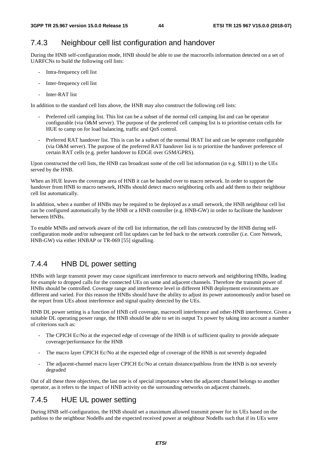### 7.4.3 Neighbour cell list configuration and handover

During the HNB self-configuration mode, HNB should be able to use the macrocells information detected on a set of UARFCNs to build the following cell lists:

- Intra-frequency cell list
- Inter-frequency cell list
- Inter-RAT list

In addition to the standard cell lists above, the HNB may also construct the following cell lists:

- Preferred cell camping list. This list can be a subset of the normal cell camping list and can be operator configurable (via O&M server). The purpose of the preferred cell camping list is to prioritise certain cells for HUE to camp on for load balancing, traffic and QoS control.
- Preferred RAT handover list. This is can be a subset of the normal IRAT list and can be operator configurable (via O&M server). The purpose of the preferred RAT handover list is to prioritise the handover preference of certain RAT cells (e.g. prefer handover to EDGE over GSM/GPRS).

Upon constructed the cell lists, the HNB can broadcast some of the cell list information (in e.g. SIB11) to the UEs served by the HNB.

When an HUE leaves the coverage area of HNB it can be handed over to macro network. In order to support the handover from HNB to macro network, HNBs should detect macro neighboring cells and add them to their neighbour cell list automatically.

In addition, when a number of HNBs may be required to be deployed as a small network, the HNB neighbour cell list can be configured automatically by the HNB or a HNB controller (e.g. HNB-GW) in order to facilitate the handover between HNBs.

To enable MNBs and network aware of the cell list information, the cell lists constructed by the HNB during selfconfiguration mode and/or subsequent cell list updates can be fed back to the network controller (i.e. Core Network, HNB-GW) via either HNBAP or TR-069 [55] signalling.

### 7.4.4 HNB DL power setting

HNBs with large transmit power may cause significant interference to macro network and neighboring HNBs, leading for example to dropped calls for the connected UEs on same and adjacent channels. Therefore the transmit power of HNBs should be controlled. Coverage range and interference level in different HNB deployment environments are different and varied. For this reason the HNBs should have the ability to adjust its power autonomously and/or based on the report from UEs about interference and signal quality detected by the UEs.

HNB DL power setting is a function of HNB cell coverage, macrocell interference and other-HNB interference. Given a suitable DL operating power range, the HNB should be able to set its output Tx power by taking into account a number of criterions such as:

- The CPICH Ec/No at the expected edge of coverage of the HNB is of sufficient quality to provide adequate coverage/performance for the HNB
- The macro layer CPICH Ec/No at the expected edge of coverage of the HNB is not severely degraded
- The adjacent-channel macro layer CPICH Ec/No at certain distance/pathloss from the HNB is not severely degraded

Out of all these three objectives, the last one is of special importance when the adjacent channel belongs to another operator, as it refers to the impact of HNB activity on the surrounding networks on adjacent channels.

### 7.4.5 HUE UL power setting

During HNB self-configuration, the HNB should set a maximum allowed transmit power for its UEs based on the pathloss to the neighbour NodeBs and the expected received power at neighbour NodeBs such that if its UEs were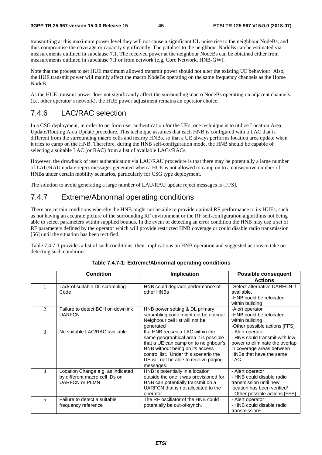transmitting at this maximum power level they will not cause a significant UL noise rise to the neighbour NodeBs, and thus compromise the coverage or capacity significantly. The pathloss to the neighbour NodeBs can be estimated via measurements outlined in subclause 7.1. The received power at the neighbour NodeBs can be obtained either from measurements outlined in subclause 7.1 or from network (e.g. Core Network, HNB-GW).

Note that the process to set HUE maximum allowed transmit power should not alter the existing UE behaviour. Also, the HUE transmit power will mainly affect the macro NodeBs operating on the same frequency channels as the Home NodeB.

As the HUE transmit power does not significantly affect the surrounding macro NodeBs operating on adjacent channels (i.e. other operator's network), the HUE power adjustment remains an operator choice.

### 7.4.6 LAC/RAC selection

In a CSG deployment, in order to perform user authentication for the UEs, one technique is to utilize Location Area Update/Routing Area Update procedure. This technique assumes that each HNB is configured with a LAC that is different from the surrounding macro cells and nearby HNBs, so that a UE always performs location area update when it tries to camp on the HNB. Therefore, during the HNB self-configuration mode, the HNB should be capable of selecting a suitable LAC (or RAC) from a list of available LACs/RACs.

However, the drawback of user authentication via LAU/RAU procedure is that there may be potentially a large number of LAU/RAU update reject messages generated when a HUE is not allowed to camp on to a consecutive number of HNBs under certain mobility scenarios, particularly for CSG type deployment.

The solution to avoid generating a large number of LAU/RAU update reject messages is [FFS].

### 7.4.7 Extreme/Abnormal operating conditions

There are certain conditions whereby the HNB might not be able to provide optimal RF performance to its HUEs, such as not having an accurate picture of the surrounding RF environment or the RF self-configuration algorithms not being able to select parameters within supplied bounds. In the event of detecting an error condition the HNB may use a set of RF parameters defined by the operator which will provide restricted HNB coverage or could disable radio transmission [56] until the situation has been rectified.

Table 7.4.7-1 provides a list of such conditions, their implications on HNB operation and suggested actions to take on detecting such conditions.

|   | <b>Condition</b>                                                                             | <b>Implication</b>                                                                                                                                                                                                                                  | <b>Possible consequent</b>                                                                                                                           |
|---|----------------------------------------------------------------------------------------------|-----------------------------------------------------------------------------------------------------------------------------------------------------------------------------------------------------------------------------------------------------|------------------------------------------------------------------------------------------------------------------------------------------------------|
|   |                                                                                              |                                                                                                                                                                                                                                                     | <b>Actions</b>                                                                                                                                       |
|   | Lack of suitable DL scrambling<br>Code                                                       | HNB could degrade performance of<br>other HNBs                                                                                                                                                                                                      | -Select alternative UARFCN if<br>available.<br>-HNB could be relocated<br>within building                                                            |
| 2 | Failure to detect BCH on downlink<br><b>UARFCN</b>                                           | HNB power setting & DL primary<br>scrambling code might not be optimal<br>Neighbour cell list will not be<br>generated                                                                                                                              | -Alert operator<br>-HNB could be relocated<br>within building<br>-Other possible actions [FFS]                                                       |
| 3 | No suitable LAC/RAC available                                                                | If a HNB reuses a LAC within the<br>same geographical area it is possible<br>that a UE can camp on to neighbour's<br>HNB without being on its access<br>control list. Under this scenario the<br>UE will not be able to receive paging<br>messages. | - Alert operator<br>- HNB could transmit with low<br>power to eliminate the overlap<br>in coverage areas between<br>HNBs that have the same<br>LAC.  |
| 4 | Location Change e.g. as indicated<br>by different macro cell IDs on<br><b>UARFCN or PLMN</b> | HNB is potentially in a location<br>outside the one it was provisioned for.<br>HNB can potentially transmit on a<br>UARFCN that is not allocated to the<br>operator.                                                                                | - Alert operator<br>- HNB could disable radio<br>transmission until new<br>location has been verified <sup>1</sup><br>- Other possible actions [FFS] |
| 5 | Failure to detect a suitable<br>frequency reference                                          | The RF oscillator of the HNB could<br>potentially be out-of-synch.                                                                                                                                                                                  | - Alert operator<br>- HNB could disable radio<br>transmission <sup>1</sup>                                                                           |

#### **Table 7.4.7-1: Extreme/Abnormal operating conditions**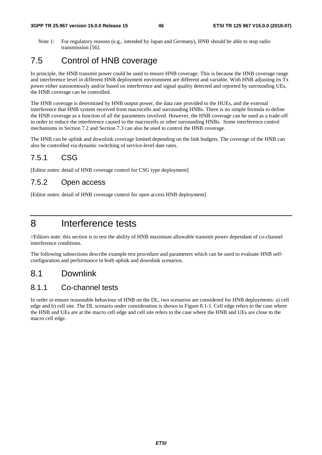Note 1: For regulatory reasons (e.g., intended by Japan and Germany), HNB should be able to stop radio transmission [56].

### 7.5 Control of HNB coverage

In principle, the HNB transmit power could be used to ensure HNB coverage. This is because the HNB coverage range and interference level in different HNB deployment environment are different and variable. With HNB adjusting its Tx power either autonomously and/or based on interference and signal quality detected and reported by surrounding UEs, the HNB coverage can be controlled.

The HNB coverage is determined by HNB output power, the data rate provided to the HUEs, and the external interference that HNB system received from macrocells and surrounding HNBs. There is no simple formula to define the HNB coverage as a function of all the parameters involved. However, the HNB coverage can be used as a trade-off in order to reduce the interference caused to the macrocells or other surrounding HNBs. Some interference control mechanisms in Section 7.2 and Section 7.3 can also be used to control the HNB coverage.

The HNB can be uplink and downlink coverage limited depending on the link budgets. The coverage of the HNB can also be controlled via dynamic switching of service-level date rates.

### 7.5.1 CSG

[Editor notes: detail of HNB coverage control for CSG type deployment]

### 7.5.2 Open access

[Editor notes: detail of HNB coverage control for open access HNB deployment]

# 8 Interference tests

//Editors note: this section is to test the ability of HNB maximum allowable transmit power dependant of co-channel interference conditions.

The following subsections describe example test procedure and parameters which can be used to evaluate HNB selfconfiguration and performance in both uplink and downlink scenarios.

### 8.1 Downlink

### 8.1.1 Co-channel tests

In order to ensure reasonable behaviour of HNB on the DL, two scenarios are considered for HNB deployments: a) cell edge and b) cell site. The DL scenario under consideration is shown in Figure 8.1-1. Cell edge refers to the case where the HNB and UEs are at the macro cell edge and cell site refers to the case where the HNB and UEs are close to the macro cell edge.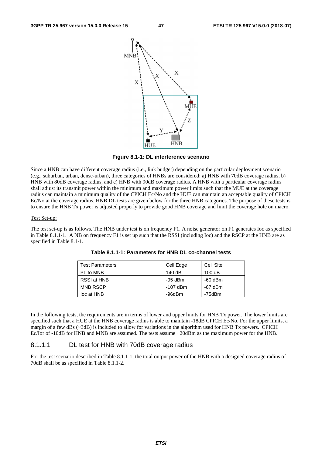

**Figure 8.1-1: DL interference scenario** 

Since a HNB can have different coverage radius (i.e., link budget) depending on the particular deployment scenario (e.g., suburban, urban, dense-urban), three categories of HNBs are considered: a) HNB with 70dB coverage radius, b) HNB with 80dB coverage radius, and c) HNB with 90dB coverage radius. A HNB with a particular coverage radius shall adjust its transmit power within the minimum and maximum power limits such that the MUE at the coverage radius can maintain a minimum quality of the CPICH Ec/No and the HUE can maintain an acceptable quality of CPICH Ec/No at the coverage radius. HNB DL tests are given below for the three HNB categories. The purpose of these tests is to ensure the HNB Tx power is adjusted properly to provide good HNB coverage and limit the coverage hole on macro.

#### Test Set-up:

The test set-up is as follows. The HNB under test is on frequency F1. A noise generator on F1 generates Ioc as specified in Table 8.1.1-1. A NB on frequency F1 is set up such that the RSSI (including Ioc) and the RSCP at the HNB are as specified in Table 8.1-1.

| <b>Test Parameters</b> | Cell Edge | Cell Site |
|------------------------|-----------|-----------|
| PL to MNB              | 140dB     | 100dB     |
| RSSI at HNB            | -95 dBm   | -60 dBm   |
| <b>MNB RSCP</b>        | -107 dBm  | $-67$ dBm |
| loc at HNB             | -96dBm    | -75dBm    |

**Table 8.1.1-1: Parameters for HNB DL co-channel tests** 

In the following tests, the requirements are in terms of lower and upper limits for HNB Tx power. The lower limits are specified such that a HUE at the HNB coverage radius is able to maintain -18dB CPICH Ec/No. For the upper limits, a margin of a few dBs (~3dB) is included to allow for variations in the algorithm used for HNB Tx powers. CPICH Ec/Ior of -10dB for HNB and MNB are assumed. The tests assume +20dBm as the maximum power for the HNB.

#### 8.1.1.1 DL test for HNB with 70dB coverage radius

For the test scenario described in Table 8.1.1-1, the total output power of the HNB with a designed coverage radius of 70dB shall be as specified in Table 8.1.1-2.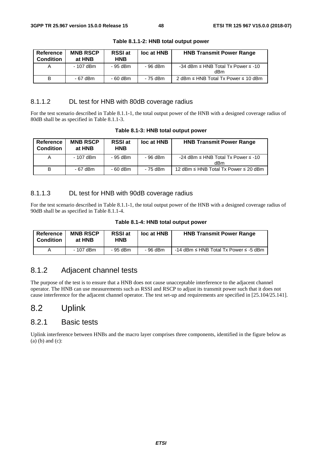| Reference<br><b>Condition</b> | <b>MNB RSCP</b><br>at HNB | <b>RSSI</b> at<br><b>HNB</b> | loc at HNB | <b>HNB Transmit Power Range</b>                     |
|-------------------------------|---------------------------|------------------------------|------------|-----------------------------------------------------|
| A                             | - 107 dBm                 | - 95 dBm                     | - 96 dBm   | -34 dBm $\leq$ HNB Total Tx Power $\leq$ -10<br>dBm |
| B                             | - 67 dBm                  | - 60 dBm                     | - 75 dBm   | 2 dBm $\leq$ HNB Total Tx Power $\leq$ 10 dBm       |

**Table 8.1.1-2: HNB total output power** 

#### 8.1.1.2 DL test for HNB with 80dB coverage radius

For the test scenario described in Table 8.1.1-1, the total output power of the HNB with a designed coverage radius of 80dB shall be as specified in Table 8.1.1-3.

| Reference<br><b>Condition</b> | <b>MNB RSCP</b><br>at HNB | <b>RSSI</b> at<br><b>HNB</b> | loc at HNB | <b>HNB Transmit Power Range</b>                     |
|-------------------------------|---------------------------|------------------------------|------------|-----------------------------------------------------|
| A                             | - 107 dBm                 | - 95 dBm                     | - 96 dBm   | -24 dBm $\leq$ HNB Total Tx Power $\leq$ -10<br>dBm |
| B                             | - 67 dBm                  | $-60$ dBm                    | - 75 dBm   | 12 dBm $\leq$ HNB Total Tx Power $\leq$ 20 dBm      |

**Table 8.1-3: HNB total output power** 

#### 8.1.1.3 DL test for HNB with 90dB coverage radius

For the test scenario described in Table 8.1.1-1, the total output power of the HNB with a designed coverage radius of 90dB shall be as specified in Table 8.1.1-4.

|  |  |  |  | Table 8.1-4: HNB total output power |  |
|--|--|--|--|-------------------------------------|--|
|--|--|--|--|-------------------------------------|--|

| Reference<br><b>Condition</b> | <b>MNB RSCP</b><br>at HNB | <b>RSSI</b> at<br>HNB | loc at HNB | <b>HNB Transmit Power Range</b>                 |
|-------------------------------|---------------------------|-----------------------|------------|-------------------------------------------------|
|                               | - 107 dBm                 | - 95 dBm              | - 96 dBm   | -14 dBm $\leq$ HNB Total Tx Power $\leq$ -5 dBm |

### 8.1.2 Adjacent channel tests

The purpose of the test is to ensure that a HNB does not cause unacceptable interference to the adjacent channel operator. The HNB can use measurements such as RSSI and RSCP to adjust its transmit power such that it does not cause interference for the adjacent channel operator. The test set-up and requirements are specified in [25.104/25.141].

### 8.2 Uplink

### 8.2.1 Basic tests

Uplink interference between HNBs and the macro layer comprises three components, identified in the figure below as (a) (b) and (c):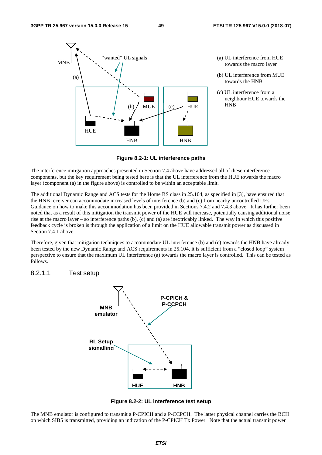

- (a) UL interference from HUE towards the macro layer
- (b) UL interference from MUE towards the HNB
- (c) UL interference from a neighbour HUE towards the

**Figure 8.2-1: UL interference paths** 

The interference mitigation approaches presented in Section 7.4 above have addressed all of these interference components, but the key requirement being tested here is that the UL interference from the HUE towards the macro layer (component (a) in the figure above) is controlled to be within an acceptable limit.

The additional Dynamic Range and ACS tests for the Home BS class in 25.104, as specified in [3], have ensured that the HNB receiver can accommodate increased levels of interference (b) and (c) from nearby uncontrolled UEs. Guidance on how to make this accommodation has been provided in Sections 7.4.2 and 7.4.3 above. It has further been noted that as a result of this mitigation the transmit power of the HUE will increase, potentially causing additional noise rise at the macro layer – so interference paths (b), (c) and (a) are inextricably linked. The way in which this positive feedback cycle is broken is through the application of a limit on the HUE allowable transmit power as discussed in Section 7.4.1 above.

Therefore, given that mitigation techniques to accommodate UL interference (b) and (c) towards the HNB have already been tested by the new Dynamic Range and ACS requirements in 25.104, it is sufficient from a "closed loop" system perspective to ensure that the maximum UL interference (a) towards the macro layer is controlled. This can be tested as follows.

#### 8.2.1.1 Test setup



**Figure 8.2-2: UL interference test setup** 

The MNB emulator is configured to transmit a P-CPICH and a P-CCPCH. The latter physical channel carries the BCH on which SIB5 is transmitted, providing an indication of the P-CPICH Tx Power. Note that the actual transmit power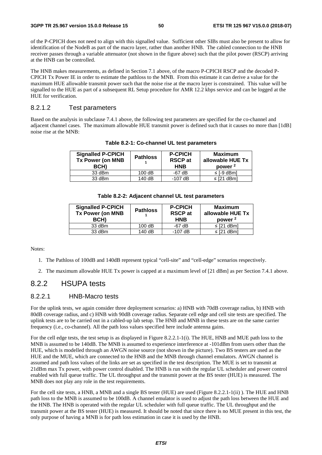of the P-CPICH does not need to align with this signalled value. Sufficient other SIBs must also be present to allow for identification of the NodeB as part of the macro layer, rather than another HNB. The cabled connection to the HNB receiver passes through a variable attenuator (not shown in the figure above) such that the pilot power (RSCP) arriving at the HNB can be controlled.

The HNB makes measurements, as defined in Section 7.1 above, of the macro P-CPICH RSCP and the decoded P-CPICH Tx Power IE in order to estimate the pathloss to the MNB. From this estimate it can derive a value for the maximum HUE allowable transmit power such that the noise rise at the macro layer is constrained. This value will be signalled to the HUE as part of a subsequent RL Setup procedure for AMR 12.2 kbps service and can be logged at the HUE for verification.

#### 8.2.1.2 Test parameters

Based on the analysis in subclause 7.4.1 above, the following test parameters are specified for the co-channel and adjacent channel cases. The maximum allowable HUE transmit power is defined such that it causes no more than [1dB] noise rise at the MNB:

| <b>Signalled P-CPICH</b><br><b>Tx Power (on MNB</b><br>BCH) | <b>Pathloss</b> | <b>P-CPICH</b><br><b>RSCP</b> at<br><b>HNB</b> | Maximum<br>allowable HUE Tx<br>power <sup>2</sup> |
|-------------------------------------------------------------|-----------------|------------------------------------------------|---------------------------------------------------|
| 33 dBm                                                      | 100dB           | $-67$ dB                                       | $\leq$ [-9 dBm]                                   |
| 33 dBm                                                      | 140 dB          | $-107$ dB                                      | $\le$ [21 dBm]                                    |

**Table 8.2-1: Co-channel UL test parameters** 

|  | Table 8.2-2: Adjacent channel UL test parameters |  |  |
|--|--------------------------------------------------|--|--|
|--|--------------------------------------------------|--|--|

| <b>Signalled P-CPICH</b><br><b>Tx Power (on MNB</b><br><b>BCH)</b> | <b>Pathloss</b> | <b>P-CPICH</b><br><b>RSCP</b> at<br><b>HNB</b> | <b>Maximum</b><br>allowable HUE Tx<br>power <sup>2</sup> |
|--------------------------------------------------------------------|-----------------|------------------------------------------------|----------------------------------------------------------|
| 33 dBm                                                             | 100dB           | $-67$ dB                                       | $\le$ [21 dBm]                                           |
| 33 dBm                                                             | 140dB           | $-107$ dB                                      | $\le$ [21 dBm]                                           |
|                                                                    |                 |                                                |                                                          |

Notes:

- 1. The Pathloss of 100dB and 140dB represent typical "cell-site" and "cell-edge" scenarios respectively.
- 2. The maximum allowable HUE Tx power is capped at a maximum level of [21 dBm] as per Section 7.4.1 above.

### 8.2.2 HSUPA tests

#### 8.2.2.1 HNB-Macro tests

For the uplink tests, we again consider three deployment scenarios: a) HNB with 70dB coverage radius, b) HNB with 80dB coverage radius, and c) HNB with 90dB coverage radius. Separate cell edge and cell site tests are specified. The uplink tests are to be carried out in a cabled-up lab setup. The HNB and MNB in these tests are on the same carrier frequency (i.e., co-channel). All the path loss values specified here include antenna gains.

For the cell edge tests, the test setup is as displayed in Figure 8.2.2.1-1(i). The HUE, HNB and MUE path loss to the MNB is assumed to be 140dB. The MNB is assumed to experience interference at -101dBm from users other than the HUE, which is modelled through an AWGN noise source (not shown in the picture). Two BS testers are used as the HUE and the MUE, which are connected to the HNB and the MNB through channel emulators. AWGN channel is assumed and path loss values of the links are set as specified in the test description. The MUE is set to transmit at 21dBm max Tx power, with power control disabled. The HNB is run with the regular UL scheduler and power control enabled with full queue traffic. The UL throughput and the transmit power at the BS tester (HUE) is measured. The MNB does not play any role in the test requirements.

For the cell site tests, a HNB, a MNB and a single BS tester (HUE) are used (Figure 8.2.2.1-1(ii) ). The HUE and HNB path loss to the MNB is assumed to be 100dB. A channel emulator is used to adjust the path loss between the HUE and the HNB. The HNB is operated with the regular UL scheduler with full queue traffic. The UL throughput and the transmit power at the BS tester (HUE) is measured. It should be noted that since there is no MUE present in this test, the only purpose of having a MNB is for path loss estimation in case it is used by the HNB.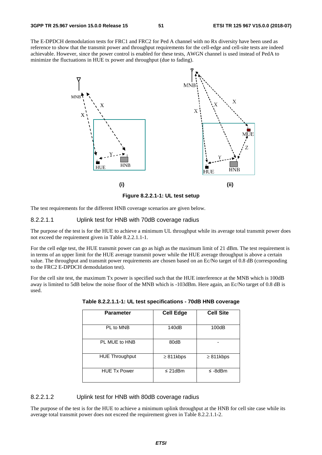The E-DPDCH demodulation tests for FRC1 and FRC2 for Ped A channel with no Rx diversity have been used as reference to show that the transmit power and throughput requirements for the cell-edge and cell-site tests are indeed achievable. However, since the power control is enabled for these tests, AWGN channel is used instead of PedA to minimize the fluctuations in HUE tx power and throughput (due to fading).



The test requirements for the different HNB coverage scenarios are given below.

#### 8.2.2.1.1 Uplink test for HNB with 70dB coverage radius

The purpose of the test is for the HUE to achieve a minimum UL throughput while its average total transmit power does not exceed the requirement given in Table 8.2.2.1.1-1.

For the cell edge test, the HUE transmit power can go as high as the maximum limit of 21 dBm. The test requirement is in terms of an upper limit for the HUE average transmit power while the HUE average throughput is above a certain value. The throughput and transmit power requirements are chosen based on an Ec/No target of 0.8 dB (corresponding to the FRC2 E-DPDCH demodulation test).

For the cell site test, the maximum Tx power is specified such that the HUE interference at the MNB which is 100dB away is limited to 5dB below the noise floor of the MNB which is -103dBm. Here again, an Ec/No target of 0.8 dB is used.

| <b>Parameter</b>      | <b>Cell Edge</b> | <b>Cell Site</b> |
|-----------------------|------------------|------------------|
| PL to MNB             | 140dB            | 100dB            |
| PL MUE to HNB         | 80dB             |                  |
| <b>HUE Throughput</b> | $\geq$ 811kbps   | $\geq$ 811kbps   |
| <b>HUE Tx Power</b>   | $\leq$ 21dBm     | $\leq$ -8dBm     |

**Table 8.2.2.1.1-1: UL test specifications - 70dB HNB coverage** 

#### 8.2.2.1.2 Uplink test for HNB with 80dB coverage radius

The purpose of the test is for the HUE to achieve a minimum uplink throughput at the HNB for cell site case while its average total transmit power does not exceed the requirement given in Table 8.2.2.1.1-2.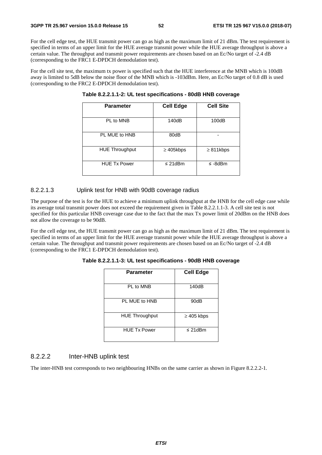For the cell edge test, the HUE transmit power can go as high as the maximum limit of 21 dBm. The test requirement is specified in terms of an upper limit for the HUE average transmit power while the HUE average throughput is above a certain value. The throughput and transmit power requirements are chosen based on an Ec/No target of -2.4 dB (corresponding to the FRC1 E-DPDCH demodulation test).

For the cell site test, the maximum tx power is specified such that the HUE interference at the MNB which is 100dB away is limited to 5dB below the noise floor of the MNB which is -103dBm. Here, an Ec/No target of 0.8 dB is used (corresponding to the FRC2 E-DPDCH demodulation test).

| <b>Parameter</b>      | <b>Cell Edge</b> | <b>Cell Site</b> |
|-----------------------|------------------|------------------|
| PL to MNB             | 140dB            | 100dB            |
| PL MUE to HNB         | 80dB             |                  |
| <b>HUE Throughput</b> | $\geq$ 405kbps   | $\geq 811$ kbps  |
| <b>HUE Tx Power</b>   | $\leq$ 21dBm     | $\leq$ -8dBm     |

**Table 8.2.2.1.1-2: UL test specifications - 80dB HNB coverage** 

#### 8.2.2.1.3 Uplink test for HNB with 90dB coverage radius

The purpose of the test is for the HUE to achieve a minimum uplink throughput at the HNB for the cell edge case while its average total transmit power does not exceed the requirement given in Table 8.2.2.1.1-3. A cell site test is not specified for this particular HNB coverage case due to the fact that the max Tx power limit of 20dBm on the HNB does not allow the coverage to be 90dB.

For the cell edge test, the HUE transmit power can go as high as the maximum limit of 21 dBm. The test requirement is specified in terms of an upper limit for the HUE average transmit power while the HUE average throughput is above a certain value. The throughput and transmit power requirements are chosen based on an Ec/No target of -2.4 dB (corresponding to the FRC1 E-DPDCH demodulation test).

| Table 8.2.2.1.1-3: UL test specifications - 90dB HNB coverage |  |
|---------------------------------------------------------------|--|
|---------------------------------------------------------------|--|

| <b>Parameter</b>      | <b>Cell Edge</b> |
|-----------------------|------------------|
| PL to MNB             | 140dB            |
| PL MUE to HNB         | 90dB             |
| <b>HUE Throughput</b> | $\geq$ 405 kbps  |
| <b>HUE Tx Power</b>   | $\leq$ 21dBm     |

#### 8.2.2.2 Inter-HNB uplink test

The inter-HNB test corresponds to two neighbouring HNBs on the same carrier as shown in Figure 8.2.2.2-1.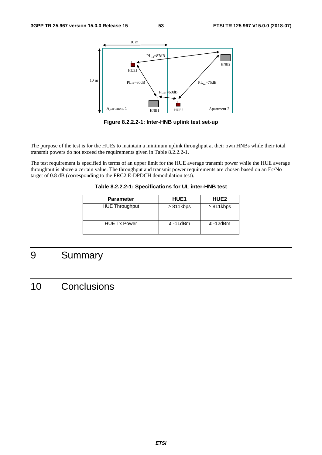

**Figure 8.2.2.2-1: Inter-HNB uplink test set-up** 

The purpose of the test is for the HUEs to maintain a minimum uplink throughput at their own HNBs while their total transmit powers do not exceed the requirements given in Table 8.2.2.2-1.

The test requirement is specified in terms of an upper limit for the HUE average transmit power while the HUE average throughput is above a certain value. The throughput and transmit power requirements are chosen based on an Ec/No target of 0.8 dB (corresponding to the FRC2 E-DPDCH demodulation test).

**Table 8.2.2.2-1: Specifications for UL inter-HNB test** 

| <b>Parameter</b>      | <b>HUE1</b>    | <b>HUE2</b>    |
|-----------------------|----------------|----------------|
| <b>HUE Throughput</b> | $\geq$ 811kbps | $\geq$ 811kbps |
| <b>HUE Tx Power</b>   | $\leq$ -11dBm  | $\leq$ -12dBm  |

# 9 Summary

# 10 Conclusions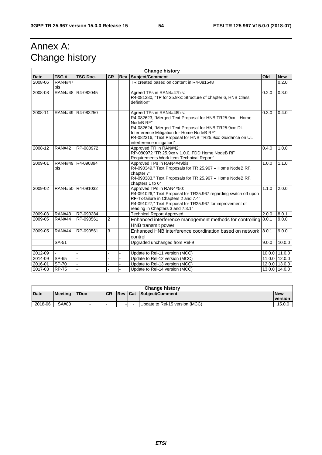# Annex A: Change history

|             | <b>Change history</b> |                 |           |  |                                                                                                                                                                                                                                                                                                     |       |               |
|-------------|-----------------------|-----------------|-----------|--|-----------------------------------------------------------------------------------------------------------------------------------------------------------------------------------------------------------------------------------------------------------------------------------------------------|-------|---------------|
| <b>Date</b> | TSG#                  | <b>TSG Doc.</b> | <b>CR</b> |  | <b>Rev Subject/Comment</b>                                                                                                                                                                                                                                                                          | Old   | <b>New</b>    |
| 2008-06     | <b>RAN4#47</b><br>bis |                 |           |  | TR created based on content in R4-081548                                                                                                                                                                                                                                                            |       | 0.2.0         |
| 2008-08     | <b>RAN4#48</b>        | R4-082045       |           |  | Agreed TPs in RAN4#47bis:<br>R4-081380, "TP for 25.9xx: Structure of chapter 6, HNB Class<br>definition"                                                                                                                                                                                            | 0.2.0 | 0.3.0         |
| 2008-11     | RAN4#49               | R4-083250       |           |  | Agreed TPs in RAN4#48bis:<br>R4-082623, "Merged Text Proposal for HNB TR25.9xx - Home<br>NodeB RF"<br>R4-082624, "Merged Text Proposal for HNB TR25.9xx: DL<br>Interference Mitigation for Home NodeB RF"<br>R4-082316, "Text Proposal for HNB TR25.9xx: Guidance on UL<br>interference mitigation" | 0.3.0 | 0.4.0         |
| 2008-12     | <b>RAN#42</b>         | RP-080972       |           |  | Approved TR in RAN#42:<br>RP-080972 "TR 25.9xx v 1.0.0, FDD Home NodeB RF<br>Requirements Work Item Technical Report"                                                                                                                                                                               | 0.4.0 | 1.0.0         |
| 2009-01     | <b>RAN4#49</b><br>bis | R4-090394       |           |  | Approved TPs in RAN4#49bis:<br>R4-090349," Text Proposals for TR 25.967 - Home NodeB RF,<br>chapter 7"<br>R4-090383," Text Proposals for TR 25.967 - Home NodeB RF,<br>chapters 1 to 6"                                                                                                             | 1.0.0 | 1.1.0         |
| 2009-02     | <b>RAN4#50</b>        | R4-091032       |           |  | Approved TPs in RAN4#50:<br>R4-091026," Text Proposal for TR25.967 regarding switch off upon<br>RF-Tx-failure in Chapters 2 and 7.4"<br>R4-091027," Text Proposal for TR25.967 for improvement of<br>reading in Chapters 3 and 7.3.1"                                                               | 1.1.0 | 2.0.0         |
| 2009-03     | <b>RAN#43</b>         | RP-090284       |           |  | Technical Report Approved.                                                                                                                                                                                                                                                                          | 2.0.0 | 8.0.1         |
| 2009-05     | <b>RAN#44</b>         | RP-090561       | 2         |  | Enhanced interference management methods for controlling 8.0.1<br>HNB transmit power                                                                                                                                                                                                                |       | 9.0.0         |
| 2009-05     | <b>RAN#44</b>         | RP-090561       | 3         |  | Enhanced HNB interference coordination based on network 8.0.1<br>control                                                                                                                                                                                                                            |       | 9.0.0         |
|             | SA-51                 |                 |           |  | Upgraded unchanged from Rel-9                                                                                                                                                                                                                                                                       | 9.0.0 | 10.0.0        |
|             |                       |                 |           |  |                                                                                                                                                                                                                                                                                                     |       |               |
| 2012-09     |                       |                 |           |  | Update to Rel-11 version (MCC)                                                                                                                                                                                                                                                                      |       | 10.0.0 11.0.0 |
| 2014-09     | <b>SP-65</b>          |                 |           |  | Update to Rel-12 version (MCC)                                                                                                                                                                                                                                                                      |       | 11.0.0 12.0.0 |
| 2016-01     | <b>SP-70</b>          |                 |           |  | Update to Rel-13 version (MCC)                                                                                                                                                                                                                                                                      |       | 12.0.0 13.0.0 |
| 2017-03     | <b>RP-75</b>          |                 |           |  | Update to Rel-14 version (MCC)                                                                                                                                                                                                                                                                      |       | 13.0.0 14.0.0 |

| <b>Change history</b> |                |             |           |  |                          |                                |                              |
|-----------------------|----------------|-------------|-----------|--|--------------------------|--------------------------------|------------------------------|
| <b>Date</b>           | <b>Meeting</b> | <b>TDoc</b> | <b>CR</b> |  |                          | <b>Rev Cat Subiect/Comment</b> | <b>New</b><br><b>version</b> |
|                       |                |             |           |  |                          |                                |                              |
| 2018-06               | SA#80          |             |           |  | $\overline{\phantom{0}}$ | Update to Rel-15 version (MCC) | 15.0.0                       |